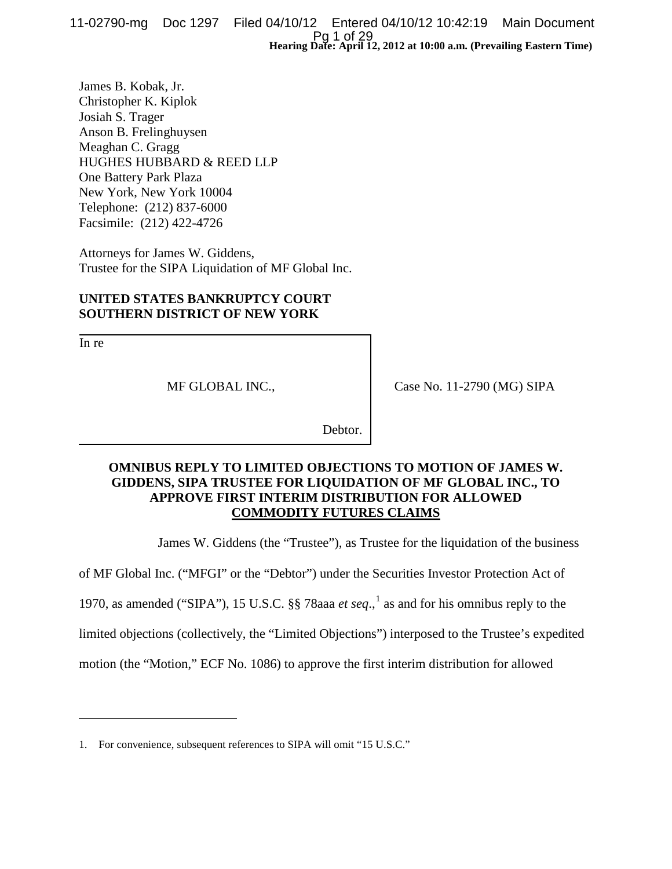**Hearing Date: April 12, 2012 at 10:00 a.m. (Prevailing Eastern Time)** 11-02790-mg Doc 1297 Filed 04/10/12 Entered 04/10/12 10:42:19 Main Document Pg 1 of 29

James B. Kobak, Jr. Christopher K. Kiplok Josiah S. Trager Anson B. Frelinghuysen Meaghan C. Gragg HUGHES HUBBARD & REED LLP One Battery Park Plaza New York, New York 10004 Telephone: (212) 837-6000 Facsimile: (212) 422-4726

Attorneys for James W. Giddens, Trustee for the SIPA Liquidation of MF Global Inc.

# **UNITED STATES BANKRUPTCY COURT SOUTHERN DISTRICT OF NEW YORK**

In re

 $\overline{a}$ 

MF GLOBAL INC.,

Case No. 11-2790 (MG) SIPA

Debtor.

# **OMNIBUS REPLY TO LIMITED OBJECTIONS TO MOTION OF JAMES W. GIDDENS, SIPA TRUSTEE FOR LIQUIDATION OF MF GLOBAL INC., TO APPROVE FIRST INTERIM DISTRIBUTION FOR ALLOWED COMMODITY FUTURES CLAIMS**

James W. Giddens (the "Trustee"), as Trustee for the liquidation of the business

of MF Global Inc. ("MFGI" or the "Debtor") under the Securities Investor Protection Act of

[1](#page-0-0)970, as amended ("SIPA"), 15 U.S.C.  $\S$  78aaa *et seq.*,<sup>1</sup> as and for his omnibus reply to the

limited objections (collectively, the "Limited Objections") interposed to the Trustee's expedited

motion (the "Motion," ECF No. 1086) to approve the first interim distribution for allowed

<span id="page-0-0"></span><sup>1.</sup> For convenience, subsequent references to SIPA will omit "15 U.S.C."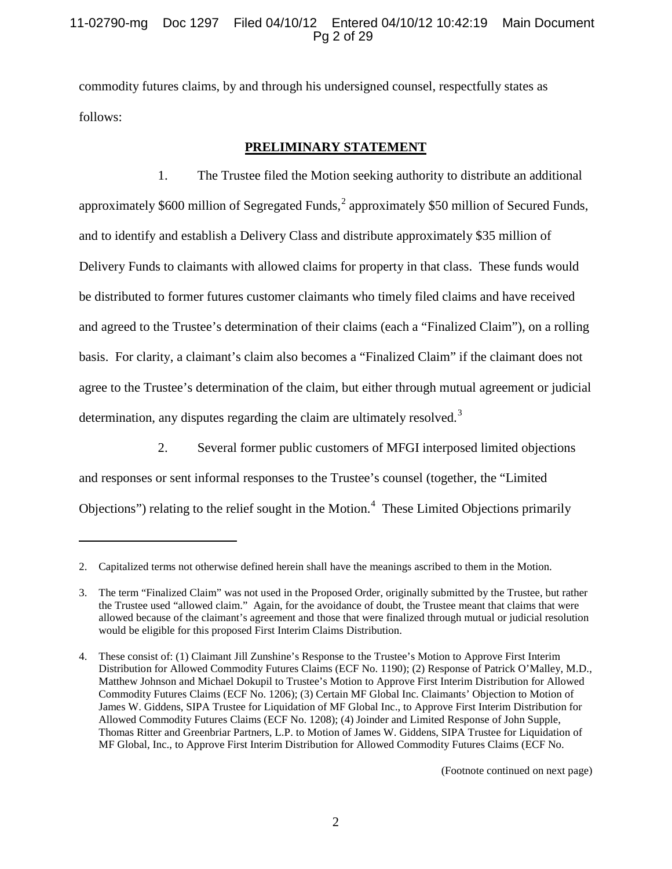# 11-02790-mg Doc 1297 Filed 04/10/12 Entered 04/10/12 10:42:19 Main Document Pg 2 of 29

commodity futures claims, by and through his undersigned counsel, respectfully states as follows:

# **PRELIMINARY STATEMENT**

1. The Trustee filed the Motion seeking authority to distribute an additional approximately \$600 million of Segregated Funds, $^2$  $^2$  approximately \$50 million of Secured Funds, and to identify and establish a Delivery Class and distribute approximately \$35 million of Delivery Funds to claimants with allowed claims for property in that class. These funds would be distributed to former futures customer claimants who timely filed claims and have received and agreed to the Trustee's determination of their claims (each a "Finalized Claim"), on a rolling basis. For clarity, a claimant's claim also becomes a "Finalized Claim" if the claimant does not agree to the Trustee's determination of the claim, but either through mutual agreement or judicial determination, any disputes regarding the claim are ultimately resolved.<sup>[3](#page-1-1)</sup>

2. Several former public customers of MFGI interposed limited objections and responses or sent informal responses to the Trustee's counsel (together, the "Limited Objections") relating to the relief sought in the Motion.<sup>[4](#page-1-0)</sup> These Limited Objections primarily

 $\overline{a}$ 

(Footnote continued on next page)

<span id="page-1-0"></span><sup>2.</sup> Capitalized terms not otherwise defined herein shall have the meanings ascribed to them in the Motion.

<span id="page-1-1"></span><sup>3.</sup> The term "Finalized Claim" was not used in the Proposed Order, originally submitted by the Trustee, but rather the Trustee used "allowed claim." Again, for the avoidance of doubt, the Trustee meant that claims that were allowed because of the claimant's agreement and those that were finalized through mutual or judicial resolution would be eligible for this proposed First Interim Claims Distribution.

<sup>4.</sup> These consist of: (1) Claimant Jill Zunshine's Response to the Trustee's Motion to Approve First Interim Distribution for Allowed Commodity Futures Claims (ECF No. 1190); (2) Response of Patrick O'Malley, M.D., Matthew Johnson and Michael Dokupil to Trustee's Motion to Approve First Interim Distribution for Allowed Commodity Futures Claims (ECF No. 1206); (3) Certain MF Global Inc. Claimants' Objection to Motion of James W. Giddens, SIPA Trustee for Liquidation of MF Global Inc., to Approve First Interim Distribution for Allowed Commodity Futures Claims (ECF No. 1208); (4) Joinder and Limited Response of John Supple, Thomas Ritter and Greenbriar Partners, L.P. to Motion of James W. Giddens, SIPA Trustee for Liquidation of MF Global, Inc., to Approve First Interim Distribution for Allowed Commodity Futures Claims (ECF No.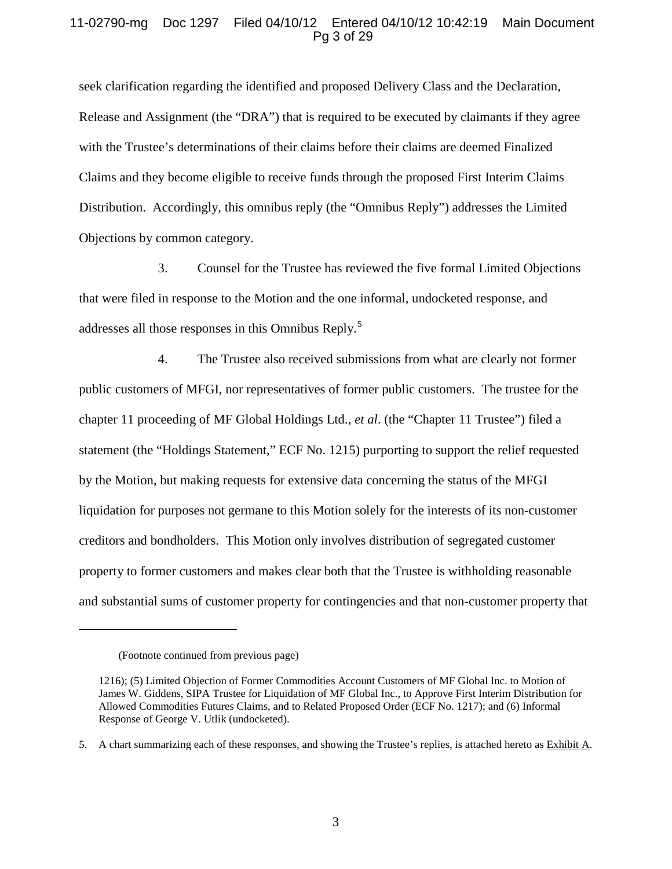# 11-02790-mg Doc 1297 Filed 04/10/12 Entered 04/10/12 10:42:19 Main Document Pg 3 of 29

seek clarification regarding the identified and proposed Delivery Class and the Declaration, Release and Assignment (the "DRA") that is required to be executed by claimants if they agree with the Trustee's determinations of their claims before their claims are deemed Finalized Claims and they become eligible to receive funds through the proposed First Interim Claims Distribution. Accordingly, this omnibus reply (the "Omnibus Reply") addresses the Limited Objections by common category.

3. Counsel for the Trustee has reviewed the five formal Limited Objections that were filed in response to the Motion and the one informal, undocketed response, and addresses all those responses in this Omnibus Reply.<sup>[5](#page-2-0)</sup>

4. The Trustee also received submissions from what are clearly not former public customers of MFGI, nor representatives of former public customers. The trustee for the chapter 11 proceeding of MF Global Holdings Ltd., *et al*. (the "Chapter 11 Trustee") filed a statement (the "Holdings Statement," ECF No. 1215) purporting to support the relief requested by the Motion, but making requests for extensive data concerning the status of the MFGI liquidation for purposes not germane to this Motion solely for the interests of its non-customer creditors and bondholders. This Motion only involves distribution of segregated customer property to former customers and makes clear both that the Trustee is withholding reasonable and substantial sums of customer property for contingencies and that non-customer property that

<sup>(</sup>Footnote continued from previous page)

<sup>1216); (5)</sup> Limited Objection of Former Commodities Account Customers of MF Global Inc. to Motion of James W. Giddens, SIPA Trustee for Liquidation of MF Global Inc., to Approve First Interim Distribution for Allowed Commodities Futures Claims, and to Related Proposed Order (ECF No. 1217); and (6) Informal Response of George V. Utlik (undocketed).

<span id="page-2-0"></span><sup>5.</sup> A chart summarizing each of these responses, and showing the Trustee's replies, is attached hereto as Exhibit A.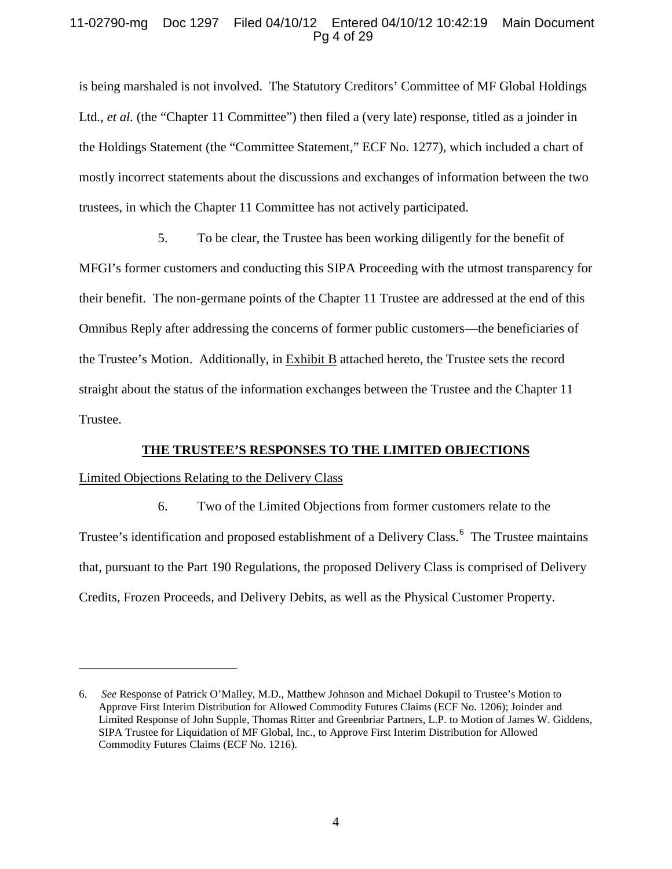# 11-02790-mg Doc 1297 Filed 04/10/12 Entered 04/10/12 10:42:19 Main Document Pg 4 of 29

is being marshaled is not involved. The Statutory Creditors' Committee of MF Global Holdings Ltd., *et al.* (the "Chapter 11 Committee") then filed a (very late) response, titled as a joinder in the Holdings Statement (the "Committee Statement," ECF No. 1277), which included a chart of mostly incorrect statements about the discussions and exchanges of information between the two trustees, in which the Chapter 11 Committee has not actively participated.

5. To be clear, the Trustee has been working diligently for the benefit of MFGI's former customers and conducting this SIPA Proceeding with the utmost transparency for their benefit. The non-germane points of the Chapter 11 Trustee are addressed at the end of this Omnibus Reply after addressing the concerns of former public customers—the beneficiaries of the Trustee's Motion. Additionally, in Exhibit B attached hereto, the Trustee sets the record straight about the status of the information exchanges between the Trustee and the Chapter 11 Trustee.

#### **THE TRUSTEE'S RESPONSES TO THE LIMITED OBJECTIONS**

#### Limited Objections Relating to the Delivery Class

 $\overline{a}$ 

6. Two of the Limited Objections from former customers relate to the Trustee's identification and proposed establishment of a Delivery Class.<sup>[6](#page-3-0)</sup> The Trustee maintains that, pursuant to the Part 190 Regulations, the proposed Delivery Class is comprised of Delivery Credits, Frozen Proceeds, and Delivery Debits, as well as the Physical Customer Property.

<span id="page-3-0"></span><sup>6.</sup> *See* Response of Patrick O'Malley, M.D., Matthew Johnson and Michael Dokupil to Trustee's Motion to Approve First Interim Distribution for Allowed Commodity Futures Claims (ECF No. 1206); Joinder and Limited Response of John Supple, Thomas Ritter and Greenbriar Partners, L.P. to Motion of James W. Giddens, SIPA Trustee for Liquidation of MF Global, Inc., to Approve First Interim Distribution for Allowed Commodity Futures Claims (ECF No. 1216).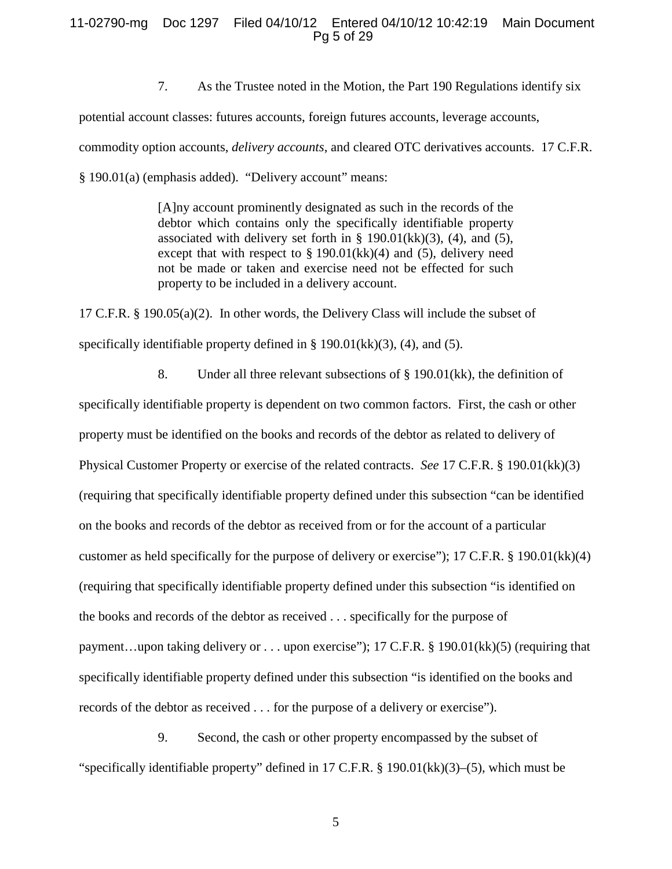#### 11-02790-mg Doc 1297 Filed 04/10/12 Entered 04/10/12 10:42:19 Main Document Pg 5 of 29

7. As the Trustee noted in the Motion, the Part 190 Regulations identify six

potential account classes: futures accounts, foreign futures accounts, leverage accounts,

commodity option accounts, *delivery accounts*, and cleared OTC derivatives accounts. 17 C.F.R.

§ 190.01(a) (emphasis added). "Delivery account" means:

[A]ny account prominently designated as such in the records of the debtor which contains only the specifically identifiable property associated with delivery set forth in  $\S$  190.01(kk)(3), (4), and (5), except that with respect to  $\S 190.01(kk)(4)$  and (5), delivery need not be made or taken and exercise need not be effected for such property to be included in a delivery account.

17 C.F.R. § 190.05(a)(2). In other words, the Delivery Class will include the subset of specifically identifiable property defined in § 190.01(kk)(3), (4), and (5).

8. Under all three relevant subsections of  $\S$  190.01(kk), the definition of specifically identifiable property is dependent on two common factors. First, the cash or other property must be identified on the books and records of the debtor as related to delivery of Physical Customer Property or exercise of the related contracts. *See* 17 C.F.R. § 190.01(kk)(3) (requiring that specifically identifiable property defined under this subsection "can be identified on the books and records of the debtor as received from or for the account of a particular customer as held specifically for the purpose of delivery or exercise"); 17 C.F.R. § 190.01(kk)(4) (requiring that specifically identifiable property defined under this subsection "is identified on the books and records of the debtor as received . . . specifically for the purpose of payment…upon taking delivery or . . . upon exercise"); 17 C.F.R. § 190.01(kk)(5) (requiring that specifically identifiable property defined under this subsection "is identified on the books and records of the debtor as received . . . for the purpose of a delivery or exercise").

9. Second, the cash or other property encompassed by the subset of "specifically identifiable property" defined in 17 C.F.R. § 190.01(kk)(3)–(5), which must be

5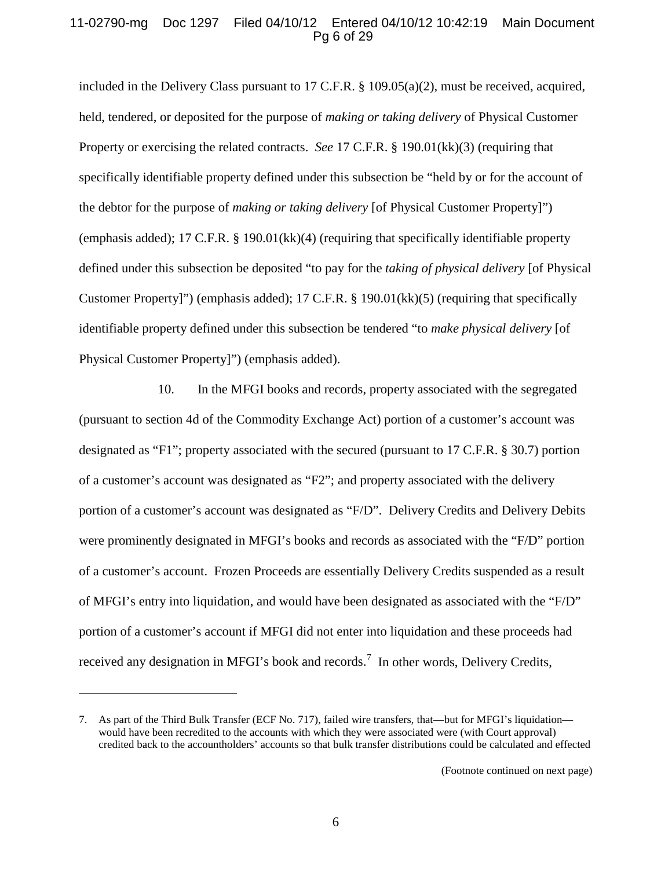### 11-02790-mg Doc 1297 Filed 04/10/12 Entered 04/10/12 10:42:19 Main Document Pg 6 of 29

included in the Delivery Class pursuant to 17 C.F.R. § 109.05(a)(2), must be received, acquired, held, tendered, or deposited for the purpose of *making or taking delivery* of Physical Customer Property or exercising the related contracts. *See* 17 C.F.R. § 190.01(kk)(3) (requiring that specifically identifiable property defined under this subsection be "held by or for the account of the debtor for the purpose of *making or taking delivery* [of Physical Customer Property]") (emphasis added); 17 C.F.R. § 190.01(kk)(4) (requiring that specifically identifiable property defined under this subsection be deposited "to pay for the *taking of physical delivery* [of Physical Customer Property]") (emphasis added); 17 C.F.R. § 190.01(kk)(5) (requiring that specifically identifiable property defined under this subsection be tendered "to *make physical delivery* [of Physical Customer Property]") (emphasis added).

10. In the MFGI books and records, property associated with the segregated (pursuant to section 4d of the Commodity Exchange Act) portion of a customer's account was designated as "F1"; property associated with the secured (pursuant to 17 C.F.R. § 30.7) portion of a customer's account was designated as "F2"; and property associated with the delivery portion of a customer's account was designated as "F/D". Delivery Credits and Delivery Debits were prominently designated in MFGI's books and records as associated with the "F/D" portion of a customer's account. Frozen Proceeds are essentially Delivery Credits suspended as a result of MFGI's entry into liquidation, and would have been designated as associated with the "F/D" portion of a customer's account if MFGI did not enter into liquidation and these proceeds had received any designation in MFGI's book and records.<sup>[7](#page-5-0)</sup> In other words, Delivery Credits,

<span id="page-5-0"></span><sup>7.</sup> As part of the Third Bulk Transfer (ECF No. 717), failed wire transfers, that—but for MFGI's liquidation would have been recredited to the accounts with which they were associated were (with Court approval) credited back to the accountholders' accounts so that bulk transfer distributions could be calculated and effected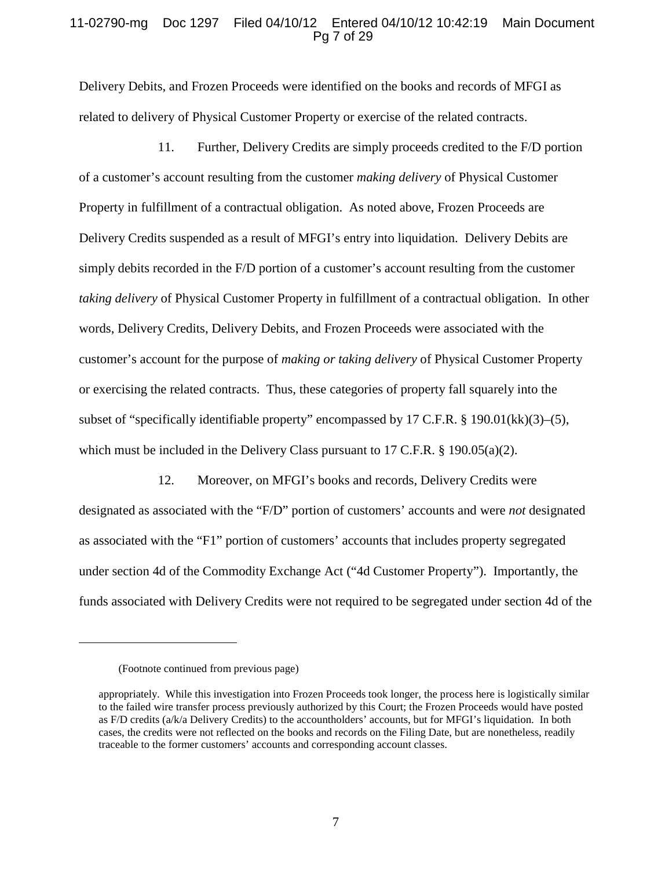#### 11-02790-mg Doc 1297 Filed 04/10/12 Entered 04/10/12 10:42:19 Main Document Pg 7 of 29

Delivery Debits, and Frozen Proceeds were identified on the books and records of MFGI as related to delivery of Physical Customer Property or exercise of the related contracts.

11. Further, Delivery Credits are simply proceeds credited to the F/D portion of a customer's account resulting from the customer *making delivery* of Physical Customer Property in fulfillment of a contractual obligation. As noted above, Frozen Proceeds are Delivery Credits suspended as a result of MFGI's entry into liquidation. Delivery Debits are simply debits recorded in the F/D portion of a customer's account resulting from the customer *taking delivery* of Physical Customer Property in fulfillment of a contractual obligation. In other words, Delivery Credits, Delivery Debits, and Frozen Proceeds were associated with the customer's account for the purpose of *making or taking delivery* of Physical Customer Property or exercising the related contracts. Thus, these categories of property fall squarely into the subset of "specifically identifiable property" encompassed by 17 C.F.R. § 190.01(kk)(3)–(5), which must be included in the Delivery Class pursuant to 17 C.F.R.  $\S$  190.05(a)(2).

12. Moreover, on MFGI's books and records, Delivery Credits were designated as associated with the "F/D" portion of customers' accounts and were *not* designated as associated with the "F1" portion of customers' accounts that includes property segregated under section 4d of the Commodity Exchange Act ("4d Customer Property"). Importantly, the funds associated with Delivery Credits were not required to be segregated under section 4d of the

<sup>(</sup>Footnote continued from previous page)

appropriately. While this investigation into Frozen Proceeds took longer, the process here is logistically similar to the failed wire transfer process previously authorized by this Court; the Frozen Proceeds would have posted as F/D credits (a/k/a Delivery Credits) to the accountholders' accounts, but for MFGI's liquidation. In both cases, the credits were not reflected on the books and records on the Filing Date, but are nonetheless, readily traceable to the former customers' accounts and corresponding account classes.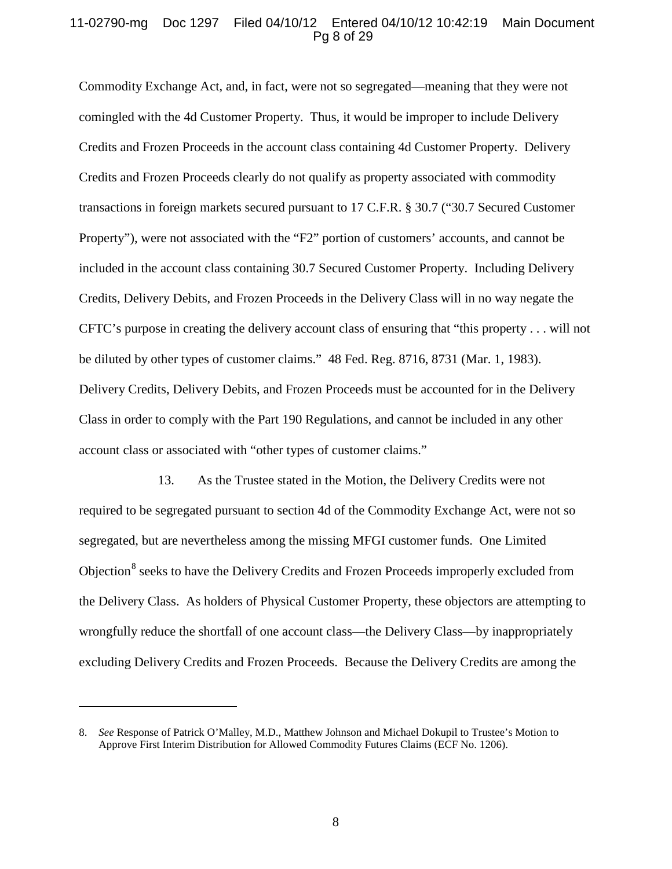#### 11-02790-mg Doc 1297 Filed 04/10/12 Entered 04/10/12 10:42:19 Main Document Pg 8 of 29

Commodity Exchange Act, and, in fact, were not so segregated—meaning that they were not comingled with the 4d Customer Property. Thus, it would be improper to include Delivery Credits and Frozen Proceeds in the account class containing 4d Customer Property. Delivery Credits and Frozen Proceeds clearly do not qualify as property associated with commodity transactions in foreign markets secured pursuant to 17 C.F.R. § 30.7 ("30.7 Secured Customer Property"), were not associated with the "F2" portion of customers' accounts, and cannot be included in the account class containing 30.7 Secured Customer Property. Including Delivery Credits, Delivery Debits, and Frozen Proceeds in the Delivery Class will in no way negate the CFTC's purpose in creating the delivery account class of ensuring that "this property . . . will not be diluted by other types of customer claims." 48 Fed. Reg. 8716, 8731 (Mar. 1, 1983). Delivery Credits, Delivery Debits, and Frozen Proceeds must be accounted for in the Delivery Class in order to comply with the Part 190 Regulations, and cannot be included in any other account class or associated with "other types of customer claims."

13. As the Trustee stated in the Motion, the Delivery Credits were not required to be segregated pursuant to section 4d of the Commodity Exchange Act, were not so segregated, but are nevertheless among the missing MFGI customer funds. One Limited Objection<sup>[8](#page-7-0)</sup> seeks to have the Delivery Credits and Frozen Proceeds improperly excluded from the Delivery Class. As holders of Physical Customer Property, these objectors are attempting to wrongfully reduce the shortfall of one account class—the Delivery Class—by inappropriately excluding Delivery Credits and Frozen Proceeds. Because the Delivery Credits are among the

<span id="page-7-0"></span><sup>8.</sup> *See* Response of Patrick O'Malley, M.D., Matthew Johnson and Michael Dokupil to Trustee's Motion to Approve First Interim Distribution for Allowed Commodity Futures Claims (ECF No. 1206).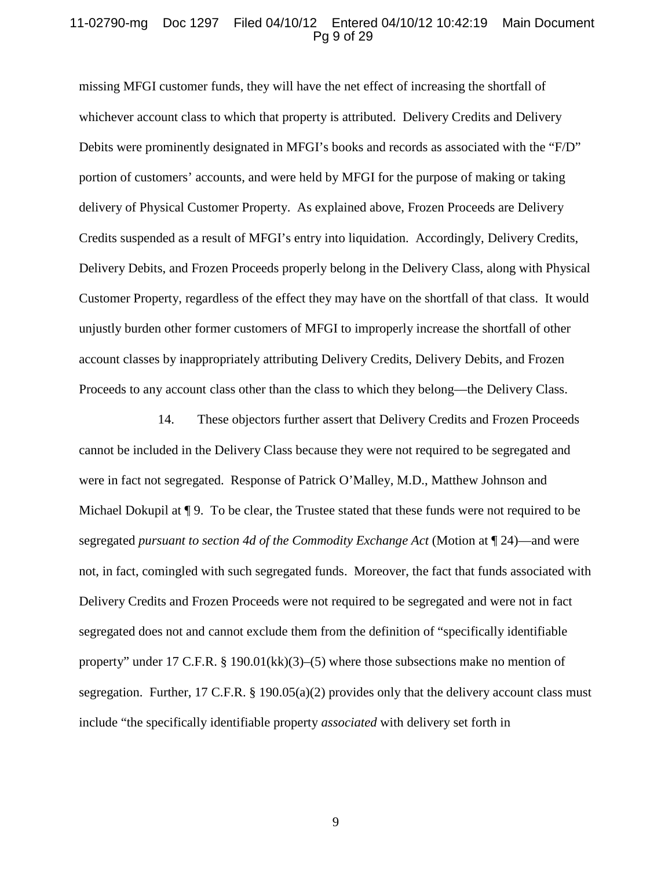#### 11-02790-mg Doc 1297 Filed 04/10/12 Entered 04/10/12 10:42:19 Main Document Pg 9 of 29

missing MFGI customer funds, they will have the net effect of increasing the shortfall of whichever account class to which that property is attributed. Delivery Credits and Delivery Debits were prominently designated in MFGI's books and records as associated with the "F/D" portion of customers' accounts, and were held by MFGI for the purpose of making or taking delivery of Physical Customer Property. As explained above, Frozen Proceeds are Delivery Credits suspended as a result of MFGI's entry into liquidation. Accordingly, Delivery Credits, Delivery Debits, and Frozen Proceeds properly belong in the Delivery Class, along with Physical Customer Property, regardless of the effect they may have on the shortfall of that class. It would unjustly burden other former customers of MFGI to improperly increase the shortfall of other account classes by inappropriately attributing Delivery Credits, Delivery Debits, and Frozen Proceeds to any account class other than the class to which they belong—the Delivery Class.

14. These objectors further assert that Delivery Credits and Frozen Proceeds cannot be included in the Delivery Class because they were not required to be segregated and were in fact not segregated. Response of Patrick O'Malley, M.D., Matthew Johnson and Michael Dokupil at  $\P$  9. To be clear, the Trustee stated that these funds were not required to be segregated *pursuant to section 4d of the Commodity Exchange Act* (Motion at ¶ 24)—and were not, in fact, comingled with such segregated funds. Moreover, the fact that funds associated with Delivery Credits and Frozen Proceeds were not required to be segregated and were not in fact segregated does not and cannot exclude them from the definition of "specifically identifiable property" under 17 C.F.R. § 190.01(kk)(3)–(5) where those subsections make no mention of segregation. Further, 17 C.F.R. § 190.05(a)(2) provides only that the delivery account class must include "the specifically identifiable property *associated* with delivery set forth in

9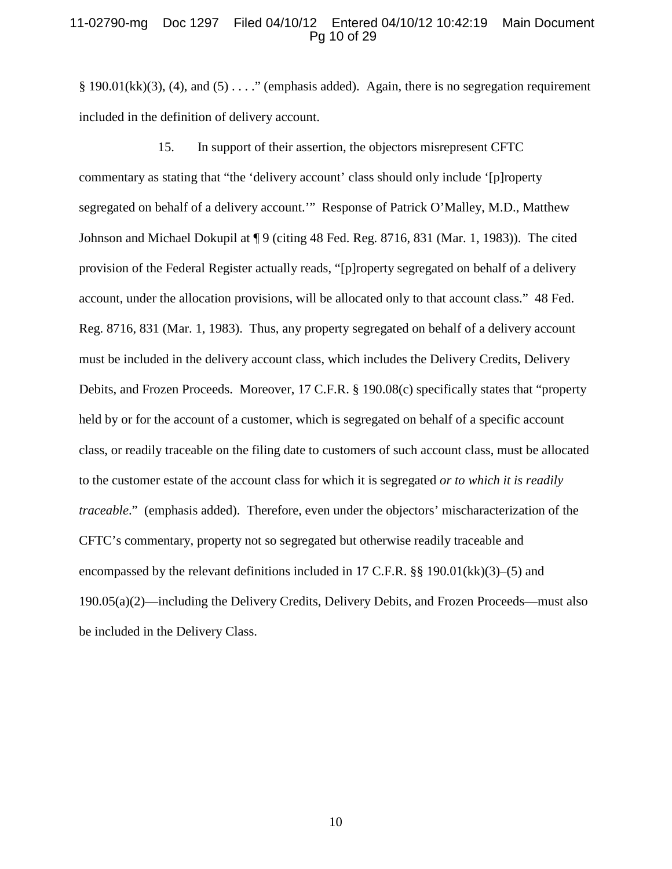#### 11-02790-mg Doc 1297 Filed 04/10/12 Entered 04/10/12 10:42:19 Main Document Pg 10 of 29

§ 190.01(kk)(3), (4), and (5)  $\dots$  " (emphasis added). Again, there is no segregation requirement included in the definition of delivery account.

15. In support of their assertion, the objectors misrepresent CFTC commentary as stating that "the 'delivery account' class should only include '[p]roperty segregated on behalf of a delivery account.'" Response of Patrick O'Malley, M.D., Matthew Johnson and Michael Dokupil at ¶ 9 (citing 48 Fed. Reg. 8716, 831 (Mar. 1, 1983)). The cited provision of the Federal Register actually reads, "[p]roperty segregated on behalf of a delivery account, under the allocation provisions, will be allocated only to that account class." 48 Fed. Reg. 8716, 831 (Mar. 1, 1983). Thus, any property segregated on behalf of a delivery account must be included in the delivery account class, which includes the Delivery Credits, Delivery Debits, and Frozen Proceeds. Moreover, 17 C.F.R. § 190.08(c) specifically states that "property held by or for the account of a customer, which is segregated on behalf of a specific account class, or readily traceable on the filing date to customers of such account class, must be allocated to the customer estate of the account class for which it is segregated *or to which it is readily traceable*." (emphasis added). Therefore, even under the objectors' mischaracterization of the CFTC's commentary, property not so segregated but otherwise readily traceable and encompassed by the relevant definitions included in 17 C.F.R. §§ 190.01(kk)(3)–(5) and 190.05(a)(2)—including the Delivery Credits, Delivery Debits, and Frozen Proceeds—must also be included in the Delivery Class.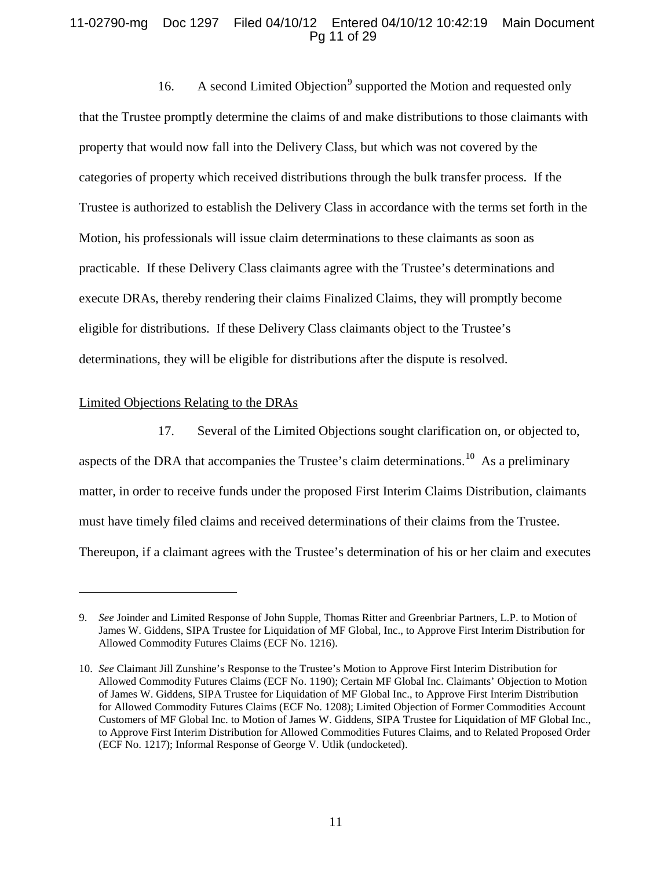# 11-02790-mg Doc 1297 Filed 04/10/12 Entered 04/10/12 10:42:19 Main Document Pg 11 of 29

16. A second Limited Objection<sup>[9](#page-10-0)</sup> supported the Motion and requested only that the Trustee promptly determine the claims of and make distributions to those claimants with property that would now fall into the Delivery Class, but which was not covered by the categories of property which received distributions through the bulk transfer process. If the Trustee is authorized to establish the Delivery Class in accordance with the terms set forth in the Motion, his professionals will issue claim determinations to these claimants as soon as practicable. If these Delivery Class claimants agree with the Trustee's determinations and execute DRAs, thereby rendering their claims Finalized Claims, they will promptly become eligible for distributions. If these Delivery Class claimants object to the Trustee's determinations, they will be eligible for distributions after the dispute is resolved.

#### Limited Objections Relating to the DRAs

 $\overline{a}$ 

17. Several of the Limited Objections sought clarification on, or objected to, aspects of the DRA that accompanies the Trustee's claim determinations.<sup>[10](#page-10-1)</sup> As a preliminary matter, in order to receive funds under the proposed First Interim Claims Distribution, claimants must have timely filed claims and received determinations of their claims from the Trustee. Thereupon, if a claimant agrees with the Trustee's determination of his or her claim and executes

<span id="page-10-0"></span><sup>9.</sup> *See* Joinder and Limited Response of John Supple, Thomas Ritter and Greenbriar Partners, L.P. to Motion of James W. Giddens, SIPA Trustee for Liquidation of MF Global, Inc., to Approve First Interim Distribution for Allowed Commodity Futures Claims (ECF No. 1216).

<span id="page-10-1"></span><sup>10.</sup> *See* Claimant Jill Zunshine's Response to the Trustee's Motion to Approve First Interim Distribution for Allowed Commodity Futures Claims (ECF No. 1190); Certain MF Global Inc. Claimants' Objection to Motion of James W. Giddens, SIPA Trustee for Liquidation of MF Global Inc., to Approve First Interim Distribution for Allowed Commodity Futures Claims (ECF No. 1208); Limited Objection of Former Commodities Account Customers of MF Global Inc. to Motion of James W. Giddens, SIPA Trustee for Liquidation of MF Global Inc., to Approve First Interim Distribution for Allowed Commodities Futures Claims, and to Related Proposed Order (ECF No. 1217); Informal Response of George V. Utlik (undocketed).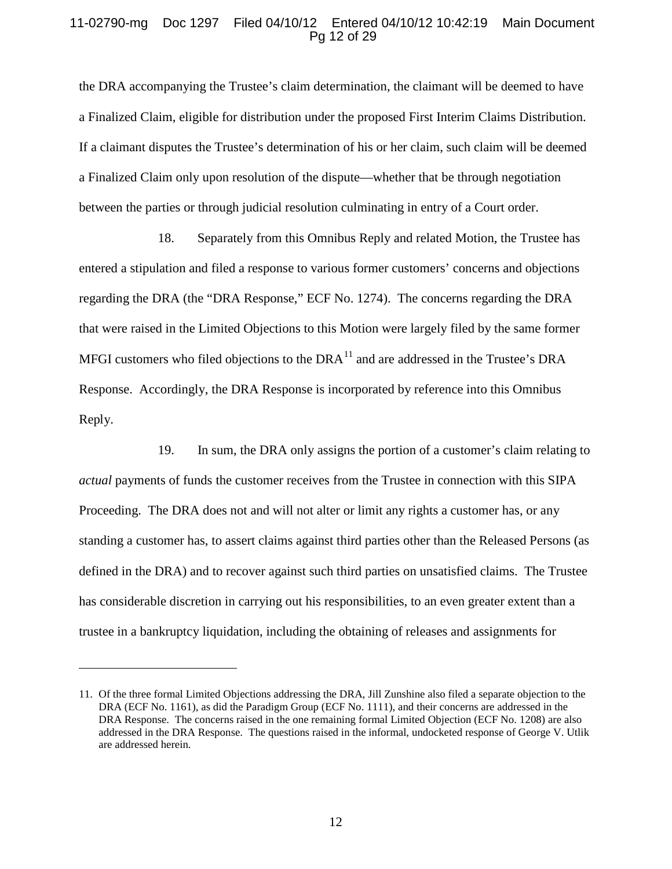### 11-02790-mg Doc 1297 Filed 04/10/12 Entered 04/10/12 10:42:19 Main Document Pg 12 of 29

the DRA accompanying the Trustee's claim determination, the claimant will be deemed to have a Finalized Claim, eligible for distribution under the proposed First Interim Claims Distribution. If a claimant disputes the Trustee's determination of his or her claim, such claim will be deemed a Finalized Claim only upon resolution of the dispute—whether that be through negotiation between the parties or through judicial resolution culminating in entry of a Court order.

18. Separately from this Omnibus Reply and related Motion, the Trustee has entered a stipulation and filed a response to various former customers' concerns and objections regarding the DRA (the "DRA Response," ECF No. 1274). The concerns regarding the DRA that were raised in the Limited Objections to this Motion were largely filed by the same former MFGI customers who filed objections to the DRA $^{11}$  $^{11}$  $^{11}$  and are addressed in the Trustee's DRA Response. Accordingly, the DRA Response is incorporated by reference into this Omnibus Reply.

19. In sum, the DRA only assigns the portion of a customer's claim relating to *actual* payments of funds the customer receives from the Trustee in connection with this SIPA Proceeding. The DRA does not and will not alter or limit any rights a customer has, or any standing a customer has, to assert claims against third parties other than the Released Persons (as defined in the DRA) and to recover against such third parties on unsatisfied claims. The Trustee has considerable discretion in carrying out his responsibilities, to an even greater extent than a trustee in a bankruptcy liquidation, including the obtaining of releases and assignments for

<span id="page-11-0"></span><sup>11.</sup> Of the three formal Limited Objections addressing the DRA, Jill Zunshine also filed a separate objection to the DRA (ECF No. 1161), as did the Paradigm Group (ECF No. 1111), and their concerns are addressed in the DRA Response. The concerns raised in the one remaining formal Limited Objection (ECF No. 1208) are also addressed in the DRA Response. The questions raised in the informal, undocketed response of George V. Utlik are addressed herein.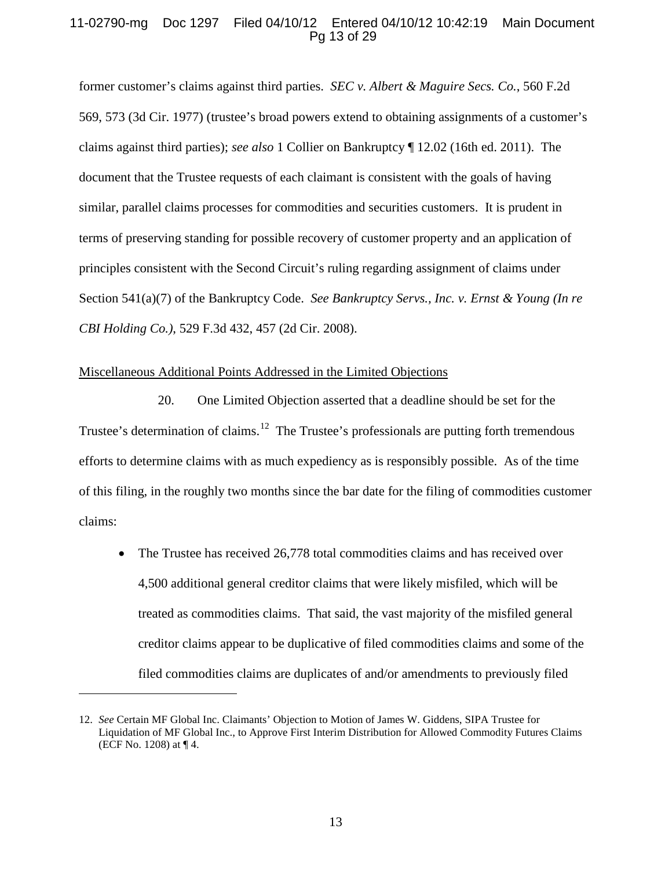### 11-02790-mg Doc 1297 Filed 04/10/12 Entered 04/10/12 10:42:19 Main Document Pg 13 of 29

former customer's claims against third parties. *SEC v. Albert & Maguire Secs. Co.*, 560 F.2d 569, 573 (3d Cir. 1977) (trustee's broad powers extend to obtaining assignments of a customer's claims against third parties); *see also* 1 Collier on Bankruptcy ¶ 12.02 (16th ed. 2011). The document that the Trustee requests of each claimant is consistent with the goals of having similar, parallel claims processes for commodities and securities customers. It is prudent in terms of preserving standing for possible recovery of customer property and an application of principles consistent with the Second Circuit's ruling regarding assignment of claims under Section 541(a)(7) of the Bankruptcy Code. *See Bankruptcy Servs., Inc. v. Ernst & Young (In re CBI Holding Co.)*, 529 F.3d 432, 457 (2d Cir. 2008).

#### Miscellaneous Additional Points Addressed in the Limited Objections

 $\overline{a}$ 

20. One Limited Objection asserted that a deadline should be set for the Trustee's determination of claims.<sup>[12](#page-12-0)</sup> The Trustee's professionals are putting forth tremendous efforts to determine claims with as much expediency as is responsibly possible. As of the time of this filing, in the roughly two months since the bar date for the filing of commodities customer claims:

• The Trustee has received 26,778 total commodities claims and has received over 4,500 additional general creditor claims that were likely misfiled, which will be treated as commodities claims. That said, the vast majority of the misfiled general creditor claims appear to be duplicative of filed commodities claims and some of the filed commodities claims are duplicates of and/or amendments to previously filed

<span id="page-12-0"></span><sup>12.</sup> *See* Certain MF Global Inc. Claimants' Objection to Motion of James W. Giddens, SIPA Trustee for Liquidation of MF Global Inc., to Approve First Interim Distribution for Allowed Commodity Futures Claims (ECF No. 1208) at ¶ 4.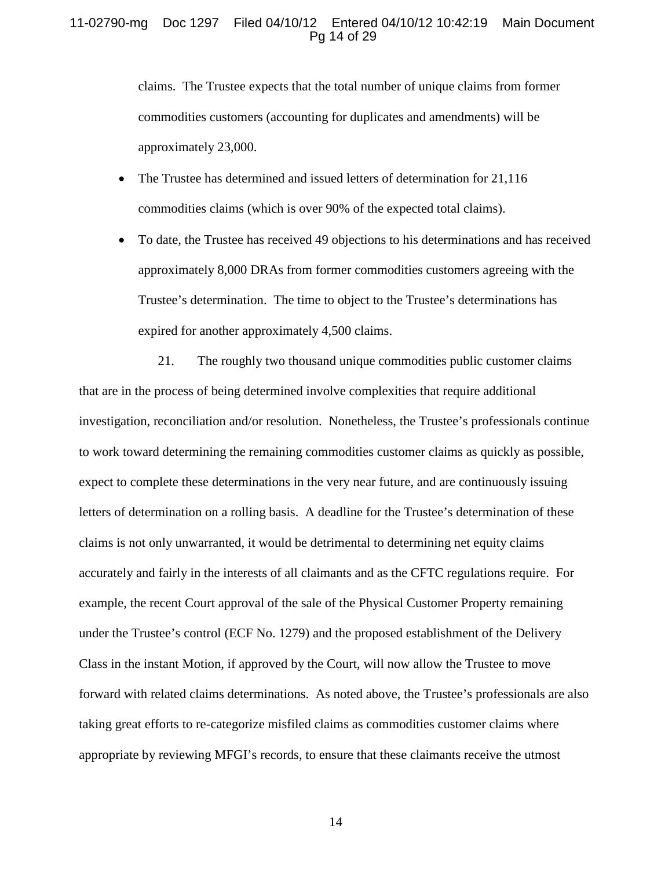#### 11-02790-mg Doc 1297 Filed 04/10/12 Entered 04/10/12 10:42:19 Main Document Pg 14 of 29

claims. The Trustee expects that the total number of unique claims from former commodities customers (accounting for duplicates and amendments) will be approximately 23,000.

- The Trustee has determined and issued letters of determination for 21,116 commodities claims (which is over 90% of the expected total claims).
- To date, the Trustee has received 49 objections to his determinations and has received approximately 8,000 DRAs from former commodities customers agreeing with the Trustee's determination. The time to object to the Trustee's determinations has expired for another approximately 4,500 claims.

21. The roughly two thousand unique commodities public customer claims that are in the process of being determined involve complexities that require additional investigation, reconciliation and/or resolution. Nonetheless, the Trustee's professionals continue to work toward determining the remaining commodities customer claims as quickly as possible, expect to complete these determinations in the very near future, and are continuously issuing letters of determination on a rolling basis. A deadline for the Trustee's determination of these claims is not only unwarranted, it would be detrimental to determining net equity claims accurately and fairly in the interests of all claimants and as the CFTC regulations require. For example, the recent Court approval of the sale of the Physical Customer Property remaining under the Trustee's control (ECF No. 1279) and the proposed establishment of the Delivery Class in the instant Motion, if approved by the Court, will now allow the Trustee to move forward with related claims determinations. As noted above, the Trustee's professionals are also taking great efforts to re-categorize misfiled claims as commodities customer claims where appropriate by reviewing MFGI's records, to ensure that these claimants receive the utmost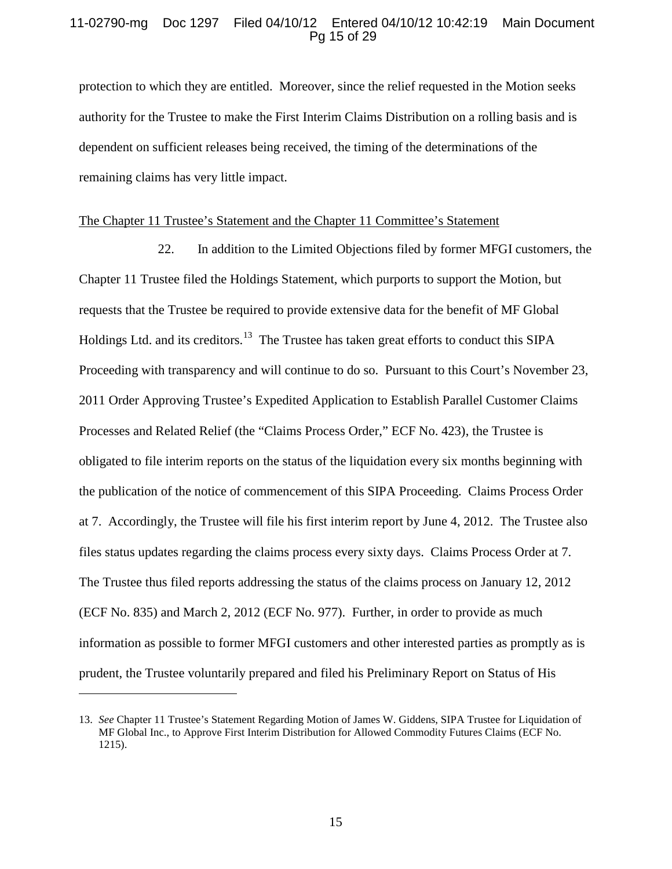## 11-02790-mg Doc 1297 Filed 04/10/12 Entered 04/10/12 10:42:19 Main Document Pg 15 of 29

protection to which they are entitled. Moreover, since the relief requested in the Motion seeks authority for the Trustee to make the First Interim Claims Distribution on a rolling basis and is dependent on sufficient releases being received, the timing of the determinations of the remaining claims has very little impact.

#### The Chapter 11 Trustee's Statement and the Chapter 11 Committee's Statement

22. In addition to the Limited Objections filed by former MFGI customers, the Chapter 11 Trustee filed the Holdings Statement, which purports to support the Motion, but requests that the Trustee be required to provide extensive data for the benefit of MF Global Holdings Ltd. and its creditors.<sup>[13](#page-14-0)</sup> The Trustee has taken great efforts to conduct this SIPA Proceeding with transparency and will continue to do so. Pursuant to this Court's November 23, 2011 Order Approving Trustee's Expedited Application to Establish Parallel Customer Claims Processes and Related Relief (the "Claims Process Order," ECF No. 423), the Trustee is obligated to file interim reports on the status of the liquidation every six months beginning with the publication of the notice of commencement of this SIPA Proceeding. Claims Process Order at 7. Accordingly, the Trustee will file his first interim report by June 4, 2012. The Trustee also files status updates regarding the claims process every sixty days. Claims Process Order at 7. The Trustee thus filed reports addressing the status of the claims process on January 12, 2012 (ECF No. 835) and March 2, 2012 (ECF No. 977). Further, in order to provide as much information as possible to former MFGI customers and other interested parties as promptly as is prudent, the Trustee voluntarily prepared and filed his Preliminary Report on Status of His

<span id="page-14-0"></span><sup>13.</sup> *See* Chapter 11 Trustee's Statement Regarding Motion of James W. Giddens, SIPA Trustee for Liquidation of MF Global Inc., to Approve First Interim Distribution for Allowed Commodity Futures Claims (ECF No. 1215).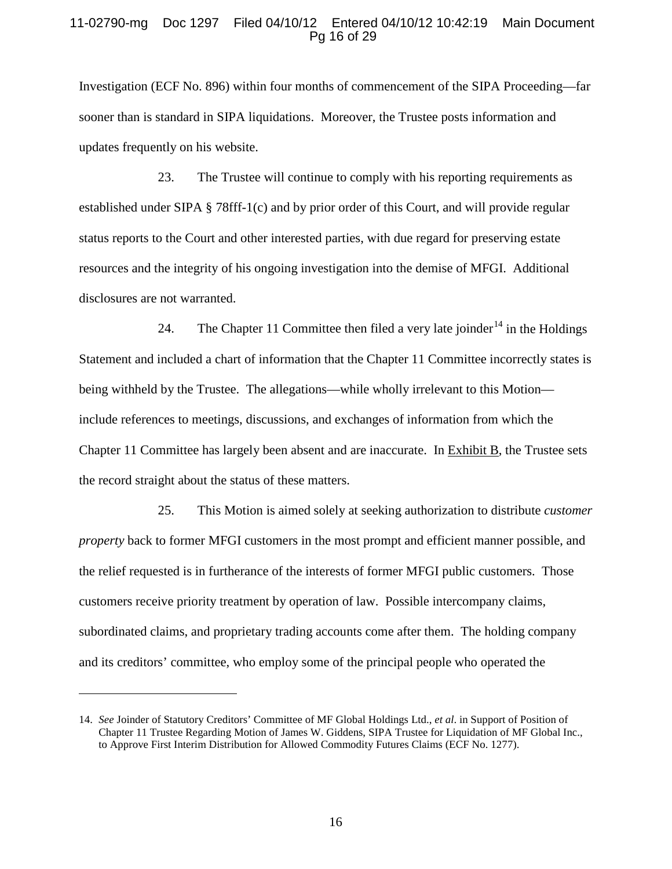#### 11-02790-mg Doc 1297 Filed 04/10/12 Entered 04/10/12 10:42:19 Main Document Pg 16 of 29

Investigation (ECF No. 896) within four months of commencement of the SIPA Proceeding—far sooner than is standard in SIPA liquidations. Moreover, the Trustee posts information and updates frequently on his website.

23. The Trustee will continue to comply with his reporting requirements as established under SIPA § 78fff-1(c) and by prior order of this Court, and will provide regular status reports to the Court and other interested parties, with due regard for preserving estate resources and the integrity of his ongoing investigation into the demise of MFGI. Additional disclosures are not warranted.

24. The Chapter 11 Committee then filed a very late joinder<sup>[14](#page-15-0)</sup> in the Holdings Statement and included a chart of information that the Chapter 11 Committee incorrectly states is being withheld by the Trustee. The allegations—while wholly irrelevant to this Motion include references to meetings, discussions, and exchanges of information from which the Chapter 11 Committee has largely been absent and are inaccurate. In **Exhibit B**, the Trustee sets the record straight about the status of these matters.

25. This Motion is aimed solely at seeking authorization to distribute *customer property* back to former MFGI customers in the most prompt and efficient manner possible, and the relief requested is in furtherance of the interests of former MFGI public customers. Those customers receive priority treatment by operation of law. Possible intercompany claims, subordinated claims, and proprietary trading accounts come after them. The holding company and its creditors' committee, who employ some of the principal people who operated the

<span id="page-15-0"></span><sup>14.</sup> *See* Joinder of Statutory Creditors' Committee of MF Global Holdings Ltd., *et al*. in Support of Position of Chapter 11 Trustee Regarding Motion of James W. Giddens, SIPA Trustee for Liquidation of MF Global Inc., to Approve First Interim Distribution for Allowed Commodity Futures Claims (ECF No. 1277).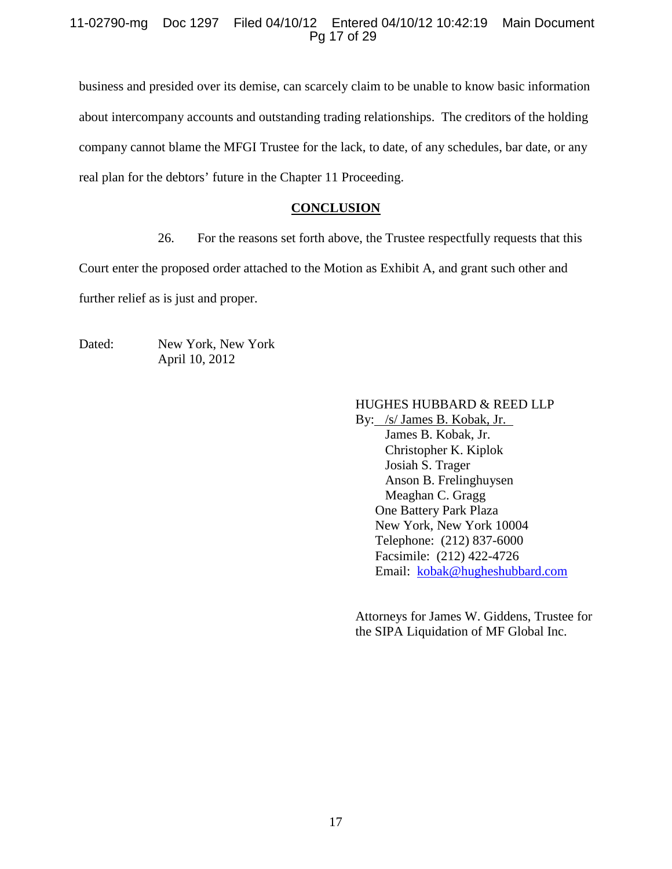# 11-02790-mg Doc 1297 Filed 04/10/12 Entered 04/10/12 10:42:19 Main Document Pg 17 of 29

business and presided over its demise, can scarcely claim to be unable to know basic information about intercompany accounts and outstanding trading relationships. The creditors of the holding company cannot blame the MFGI Trustee for the lack, to date, of any schedules, bar date, or any real plan for the debtors' future in the Chapter 11 Proceeding.

# **CONCLUSION**

26. For the reasons set forth above, the Trustee respectfully requests that this

Court enter the proposed order attached to the Motion as Exhibit A, and grant such other and further relief as is just and proper.

Dated: New York, New York April 10, 2012

# HUGHES HUBBARD & REED LLP

By: /s/ James B. Kobak, Jr. Christopher K. Kiplok James B. Kobak, Jr. Josiah S. Trager Anson B. Frelinghuysen Meaghan C. Gragg One Battery Park Plaza New York, New York 10004 Telephone: (212) 837-6000 Facsimile: (212) 422-4726 Email: [kobak@hugheshubbard.com](mailto:kobak@hugheshubbard.com)

Attorneys for James W. Giddens, Trustee for the SIPA Liquidation of MF Global Inc.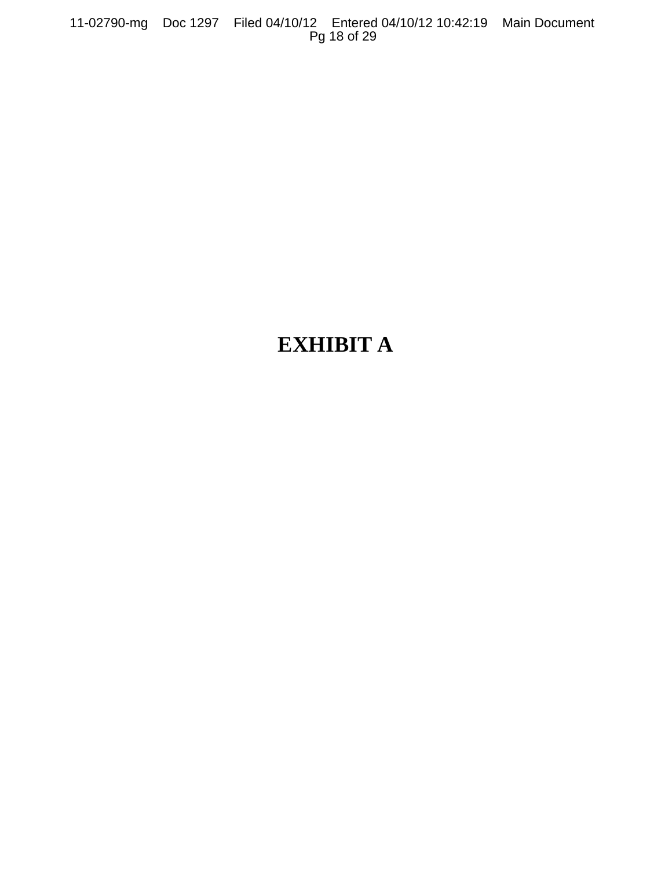11-02790-mg Doc 1297 Filed 04/10/12 Entered 04/10/12 10:42:19 Main Document Pg 18 of 29

# **EXHIBIT A**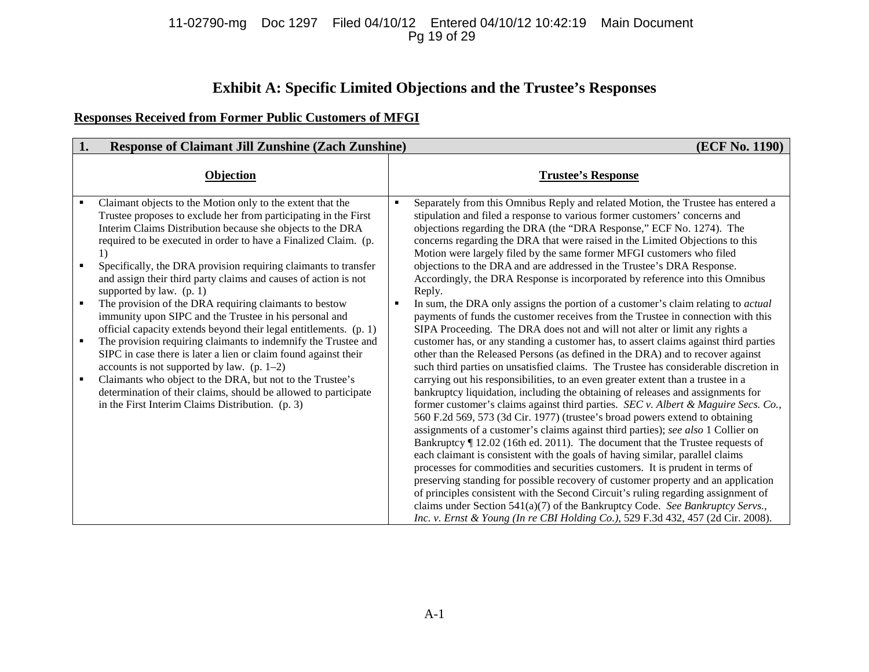### 11-02790-mg Doc 1297 Filed 04/10/12 Entered 04/10/12 10:42:19 Main Document Pg 19 of 29

# **Exhibit A: Specific Limited Objections and the Trustee's Responses**

# **Responses Received from Former Public Customers of MFGI**

| 1.<br><b>Response of Claimant Jill Zunshine (Zach Zunshine)</b>                                                                                                                                                                                                                                                                                                                                                                                                                                                                                                          | (ECF No. 1190)                                                                                                                                                                                                                                                                                                                                                                                                                                                                                                                                                                                                                                                                                                                                                                                                                                                                                                                                                                                                                                                                                                                                                                                                                                                                                                                                                                                                                                                                                                                                             |
|--------------------------------------------------------------------------------------------------------------------------------------------------------------------------------------------------------------------------------------------------------------------------------------------------------------------------------------------------------------------------------------------------------------------------------------------------------------------------------------------------------------------------------------------------------------------------|------------------------------------------------------------------------------------------------------------------------------------------------------------------------------------------------------------------------------------------------------------------------------------------------------------------------------------------------------------------------------------------------------------------------------------------------------------------------------------------------------------------------------------------------------------------------------------------------------------------------------------------------------------------------------------------------------------------------------------------------------------------------------------------------------------------------------------------------------------------------------------------------------------------------------------------------------------------------------------------------------------------------------------------------------------------------------------------------------------------------------------------------------------------------------------------------------------------------------------------------------------------------------------------------------------------------------------------------------------------------------------------------------------------------------------------------------------------------------------------------------------------------------------------------------------|
| <b>Objection</b>                                                                                                                                                                                                                                                                                                                                                                                                                                                                                                                                                         | <b>Trustee's Response</b>                                                                                                                                                                                                                                                                                                                                                                                                                                                                                                                                                                                                                                                                                                                                                                                                                                                                                                                                                                                                                                                                                                                                                                                                                                                                                                                                                                                                                                                                                                                                  |
| Claimant objects to the Motion only to the extent that the<br>Trustee proposes to exclude her from participating in the First<br>Interim Claims Distribution because she objects to the DRA<br>required to be executed in order to have a Finalized Claim. (p.<br>1)<br>Specifically, the DRA provision requiring claimants to transfer<br>and assign their third party claims and causes of action is not<br>supported by law. $(p. 1)$                                                                                                                                 | Separately from this Omnibus Reply and related Motion, the Trustee has entered a<br>$\blacksquare$<br>stipulation and filed a response to various former customers' concerns and<br>objections regarding the DRA (the "DRA Response," ECF No. 1274). The<br>concerns regarding the DRA that were raised in the Limited Objections to this<br>Motion were largely filed by the same former MFGI customers who filed<br>objections to the DRA and are addressed in the Trustee's DRA Response.<br>Accordingly, the DRA Response is incorporated by reference into this Omnibus<br>Reply.                                                                                                                                                                                                                                                                                                                                                                                                                                                                                                                                                                                                                                                                                                                                                                                                                                                                                                                                                                     |
| The provision of the DRA requiring claimants to bestow<br>immunity upon SIPC and the Trustee in his personal and<br>official capacity extends beyond their legal entitlements. (p. 1)<br>The provision requiring claimants to indemnify the Trustee and<br>٠<br>SIPC in case there is later a lien or claim found against their<br>accounts is not supported by law. $(p. 1-2)$<br>Claimants who object to the DRA, but not to the Trustee's<br>٠<br>determination of their claims, should be allowed to participate<br>in the First Interim Claims Distribution. (p. 3) | In sum, the DRA only assigns the portion of a customer's claim relating to actual<br>payments of funds the customer receives from the Trustee in connection with this<br>SIPA Proceeding. The DRA does not and will not alter or limit any rights a<br>customer has, or any standing a customer has, to assert claims against third parties<br>other than the Released Persons (as defined in the DRA) and to recover against<br>such third parties on unsatisfied claims. The Trustee has considerable discretion in<br>carrying out his responsibilities, to an even greater extent than a trustee in a<br>bankruptcy liquidation, including the obtaining of releases and assignments for<br>former customer's claims against third parties. SEC v. Albert & Maguire Secs. Co.,<br>560 F.2d 569, 573 (3d Cir. 1977) (trustee's broad powers extend to obtaining<br>assignments of a customer's claims against third parties); see also 1 Collier on<br>Bankruptcy   12.02 (16th ed. 2011). The document that the Trustee requests of<br>each claimant is consistent with the goals of having similar, parallel claims<br>processes for commodities and securities customers. It is prudent in terms of<br>preserving standing for possible recovery of customer property and an application<br>of principles consistent with the Second Circuit's ruling regarding assignment of<br>claims under Section $541(a)(7)$ of the Bankruptcy Code. See Bankruptcy Servs.,<br>Inc. v. Ernst & Young (In re CBI Holding Co.), 529 F.3d 432, 457 (2d Cir. 2008). |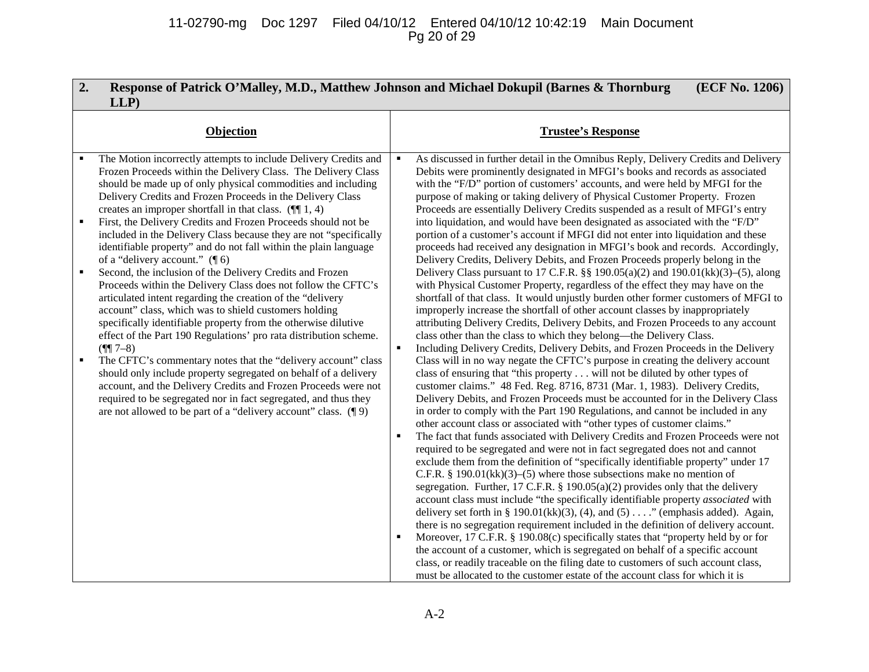# 11-02790-mg Doc 1297 Filed 04/10/12 Entered 04/10/12 10:42:19 Main Document Pg 20 of 29

| 2.<br>LLP                                                                                                                                                                                                                                                                                                                                                                                                                                                                                                                                                                                                                                                                                                                                                                                                                                                                                                                                                                                                                                                                                                                                                                                                                                                                                                                                                   | Response of Patrick O'Malley, M.D., Matthew Johnson and Michael Dokupil (Barnes & Thornburg<br>(ECF No. 1206)                                                                                                                                                                                                                                                                                                                                                                                                                                                                                                                                                                                                                                                                                                                                                                                                                                                                                                                                                                                                                                                                                                                                                                                                                                                                                                                                                                                                                                                                                                                                                                                                                                                                                                                                                                                                                                                                                                                                                                                                                                                                                                                                                                                                                                                                                                                                                                                                                                                                                                                                                                                                                                                                                                                                                                                                                                   |
|-------------------------------------------------------------------------------------------------------------------------------------------------------------------------------------------------------------------------------------------------------------------------------------------------------------------------------------------------------------------------------------------------------------------------------------------------------------------------------------------------------------------------------------------------------------------------------------------------------------------------------------------------------------------------------------------------------------------------------------------------------------------------------------------------------------------------------------------------------------------------------------------------------------------------------------------------------------------------------------------------------------------------------------------------------------------------------------------------------------------------------------------------------------------------------------------------------------------------------------------------------------------------------------------------------------------------------------------------------------|-------------------------------------------------------------------------------------------------------------------------------------------------------------------------------------------------------------------------------------------------------------------------------------------------------------------------------------------------------------------------------------------------------------------------------------------------------------------------------------------------------------------------------------------------------------------------------------------------------------------------------------------------------------------------------------------------------------------------------------------------------------------------------------------------------------------------------------------------------------------------------------------------------------------------------------------------------------------------------------------------------------------------------------------------------------------------------------------------------------------------------------------------------------------------------------------------------------------------------------------------------------------------------------------------------------------------------------------------------------------------------------------------------------------------------------------------------------------------------------------------------------------------------------------------------------------------------------------------------------------------------------------------------------------------------------------------------------------------------------------------------------------------------------------------------------------------------------------------------------------------------------------------------------------------------------------------------------------------------------------------------------------------------------------------------------------------------------------------------------------------------------------------------------------------------------------------------------------------------------------------------------------------------------------------------------------------------------------------------------------------------------------------------------------------------------------------------------------------------------------------------------------------------------------------------------------------------------------------------------------------------------------------------------------------------------------------------------------------------------------------------------------------------------------------------------------------------------------------------------------------------------------------------------------------------------------------|
| Objection                                                                                                                                                                                                                                                                                                                                                                                                                                                                                                                                                                                                                                                                                                                                                                                                                                                                                                                                                                                                                                                                                                                                                                                                                                                                                                                                                   | <b>Trustee's Response</b>                                                                                                                                                                                                                                                                                                                                                                                                                                                                                                                                                                                                                                                                                                                                                                                                                                                                                                                                                                                                                                                                                                                                                                                                                                                                                                                                                                                                                                                                                                                                                                                                                                                                                                                                                                                                                                                                                                                                                                                                                                                                                                                                                                                                                                                                                                                                                                                                                                                                                                                                                                                                                                                                                                                                                                                                                                                                                                                       |
| The Motion incorrectly attempts to include Delivery Credits and<br>Frozen Proceeds within the Delivery Class. The Delivery Class<br>should be made up of only physical commodities and including<br>Delivery Credits and Frozen Proceeds in the Delivery Class<br>creates an improper shortfall in that class. $(\P\P 1, 4)$<br>First, the Delivery Credits and Frozen Proceeds should not be<br>٠<br>included in the Delivery Class because they are not "specifically<br>identifiable property" and do not fall within the plain language<br>of a "delivery account." $(\P 6)$<br>Second, the inclusion of the Delivery Credits and Frozen<br>Proceeds within the Delivery Class does not follow the CFTC's<br>articulated intent regarding the creation of the "delivery<br>account" class, which was to shield customers holding<br>specifically identifiable property from the otherwise dilutive<br>effect of the Part 190 Regulations' pro rata distribution scheme.<br>$($ ¶[ 7-8)<br>The CFTC's commentary notes that the "delivery account" class<br>$\blacksquare$<br>should only include property segregated on behalf of a delivery<br>account, and the Delivery Credits and Frozen Proceeds were not<br>required to be segregated nor in fact segregated, and thus they<br>are not allowed to be part of a "delivery account" class. $(\P 9)$ | As discussed in further detail in the Omnibus Reply, Delivery Credits and Delivery<br>$\blacksquare$<br>Debits were prominently designated in MFGI's books and records as associated<br>with the "F/D" portion of customers' accounts, and were held by MFGI for the<br>purpose of making or taking delivery of Physical Customer Property. Frozen<br>Proceeds are essentially Delivery Credits suspended as a result of MFGI's entry<br>into liquidation, and would have been designated as associated with the "F/D"<br>portion of a customer's account if MFGI did not enter into liquidation and these<br>proceeds had received any designation in MFGI's book and records. Accordingly,<br>Delivery Credits, Delivery Debits, and Frozen Proceeds properly belong in the<br>Delivery Class pursuant to 17 C.F.R. $\S$ 190.05(a)(2) and 190.01(kk)(3)–(5), along<br>with Physical Customer Property, regardless of the effect they may have on the<br>shortfall of that class. It would unjustly burden other former customers of MFGI to<br>improperly increase the shortfall of other account classes by inappropriately<br>attributing Delivery Credits, Delivery Debits, and Frozen Proceeds to any account<br>class other than the class to which they belong—the Delivery Class.<br>Including Delivery Credits, Delivery Debits, and Frozen Proceeds in the Delivery<br>$\blacksquare$<br>Class will in no way negate the CFTC's purpose in creating the delivery account<br>class of ensuring that "this property will not be diluted by other types of<br>customer claims." 48 Fed. Reg. 8716, 8731 (Mar. 1, 1983). Delivery Credits,<br>Delivery Debits, and Frozen Proceeds must be accounted for in the Delivery Class<br>in order to comply with the Part 190 Regulations, and cannot be included in any<br>other account class or associated with "other types of customer claims."<br>The fact that funds associated with Delivery Credits and Frozen Proceeds were not<br>required to be segregated and were not in fact segregated does not and cannot<br>exclude them from the definition of "specifically identifiable property" under 17<br>C.F.R. § 190.01(kk)(3)–(5) where those subsections make no mention of<br>segregation. Further, 17 C.F.R. § 190.05(a)(2) provides only that the delivery<br>account class must include "the specifically identifiable property associated with<br>delivery set forth in § 190.01(kk)(3), (4), and (5) $\dots$ " (emphasis added). Again,<br>there is no segregation requirement included in the definition of delivery account.<br>Moreover, 17 C.F.R. § 190.08(c) specifically states that "property held by or for<br>the account of a customer, which is segregated on behalf of a specific account<br>class, or readily traceable on the filing date to customers of such account class,<br>must be allocated to the customer estate of the account class for which it is |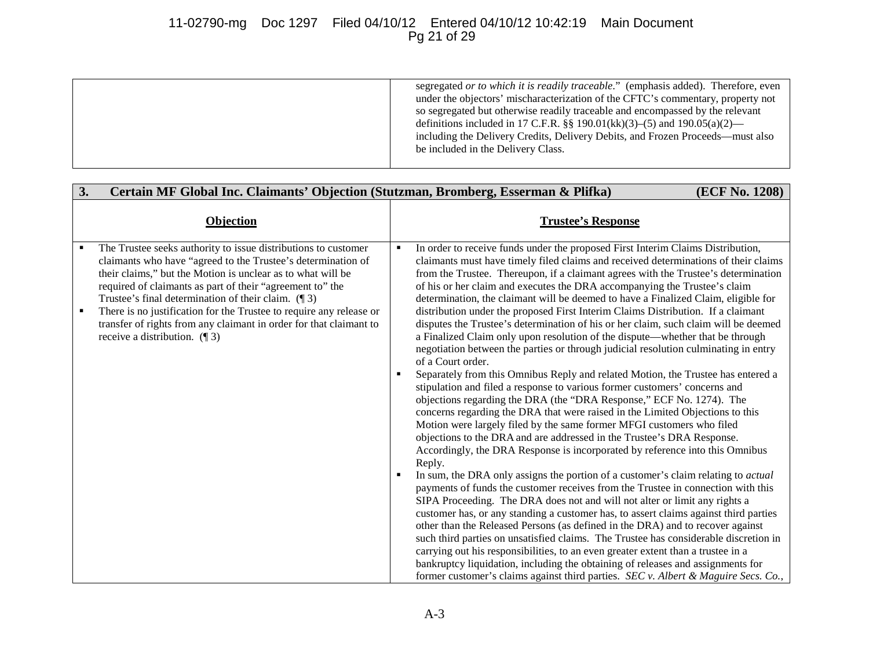# 11-02790-mg Doc 1297 Filed 04/10/12 Entered 04/10/12 10:42:19 Main Document Pg 21 of 29

segregated *or to which it is readily traceable*." (emphasis added). Therefore, even under the objectors' mischaracterization of the CFTC's commentary, property not so segregated but otherwise readily traceable and encompassed by the relevant definitions included in 17 C.F.R. §§ 190.01(kk)(3)–(5) and 190.05(a)(2) including the Delivery Credits, Delivery Debits, and Frozen Proceeds—must also be included in the Delivery Class.

| 3. | Certain MF Global Inc. Claimants' Objection (Stutzman, Bromberg, Esserman & Plifka)                                                                                                                                                                                                                                                                                                                                                                                                                   |                     | (ECF No. 1208)                                                                                                                                                                                                                                                                                                                                                                                                                                                                                                                                                                                                                                                                                                                                                                                                                                                                                                                                                                                                                                                                                                                                                                                                                                                                                                                                                                                                                                                                                                                                                                                                                                                                                                                                                                                                                                                                                                                                                                                                                                                                                                                                                               |
|----|-------------------------------------------------------------------------------------------------------------------------------------------------------------------------------------------------------------------------------------------------------------------------------------------------------------------------------------------------------------------------------------------------------------------------------------------------------------------------------------------------------|---------------------|------------------------------------------------------------------------------------------------------------------------------------------------------------------------------------------------------------------------------------------------------------------------------------------------------------------------------------------------------------------------------------------------------------------------------------------------------------------------------------------------------------------------------------------------------------------------------------------------------------------------------------------------------------------------------------------------------------------------------------------------------------------------------------------------------------------------------------------------------------------------------------------------------------------------------------------------------------------------------------------------------------------------------------------------------------------------------------------------------------------------------------------------------------------------------------------------------------------------------------------------------------------------------------------------------------------------------------------------------------------------------------------------------------------------------------------------------------------------------------------------------------------------------------------------------------------------------------------------------------------------------------------------------------------------------------------------------------------------------------------------------------------------------------------------------------------------------------------------------------------------------------------------------------------------------------------------------------------------------------------------------------------------------------------------------------------------------------------------------------------------------------------------------------------------------|
|    | <b>Objection</b>                                                                                                                                                                                                                                                                                                                                                                                                                                                                                      |                     | <b>Trustee's Response</b>                                                                                                                                                                                                                                                                                                                                                                                                                                                                                                                                                                                                                                                                                                                                                                                                                                                                                                                                                                                                                                                                                                                                                                                                                                                                                                                                                                                                                                                                                                                                                                                                                                                                                                                                                                                                                                                                                                                                                                                                                                                                                                                                                    |
|    | The Trustee seeks authority to issue distributions to customer<br>claimants who have "agreed to the Trustee's determination of<br>their claims," but the Motion is unclear as to what will be<br>required of claimants as part of their "agreement to" the<br>Trustee's final determination of their claim. $(\P 3)$<br>There is no justification for the Trustee to require any release or<br>transfer of rights from any claimant in order for that claimant to<br>receive a distribution. $(\P 3)$ | ٠<br>$\blacksquare$ | In order to receive funds under the proposed First Interim Claims Distribution,<br>claimants must have timely filed claims and received determinations of their claims<br>from the Trustee. Thereupon, if a claimant agrees with the Trustee's determination<br>of his or her claim and executes the DRA accompanying the Trustee's claim<br>determination, the claimant will be deemed to have a Finalized Claim, eligible for<br>distribution under the proposed First Interim Claims Distribution. If a claimant<br>disputes the Trustee's determination of his or her claim, such claim will be deemed<br>a Finalized Claim only upon resolution of the dispute—whether that be through<br>negotiation between the parties or through judicial resolution culminating in entry<br>of a Court order.<br>Separately from this Omnibus Reply and related Motion, the Trustee has entered a<br>stipulation and filed a response to various former customers' concerns and<br>objections regarding the DRA (the "DRA Response," ECF No. 1274). The<br>concerns regarding the DRA that were raised in the Limited Objections to this<br>Motion were largely filed by the same former MFGI customers who filed<br>objections to the DRA and are addressed in the Trustee's DRA Response.<br>Accordingly, the DRA Response is incorporated by reference into this Omnibus<br>Reply.<br>In sum, the DRA only assigns the portion of a customer's claim relating to <i>actual</i><br>payments of funds the customer receives from the Trustee in connection with this<br>SIPA Proceeding. The DRA does not and will not alter or limit any rights a<br>customer has, or any standing a customer has, to assert claims against third parties<br>other than the Released Persons (as defined in the DRA) and to recover against<br>such third parties on unsatisfied claims. The Trustee has considerable discretion in<br>carrying out his responsibilities, to an even greater extent than a trustee in a<br>bankruptcy liquidation, including the obtaining of releases and assignments for<br>former customer's claims against third parties. SEC v. Albert & Maguire Secs. Co., |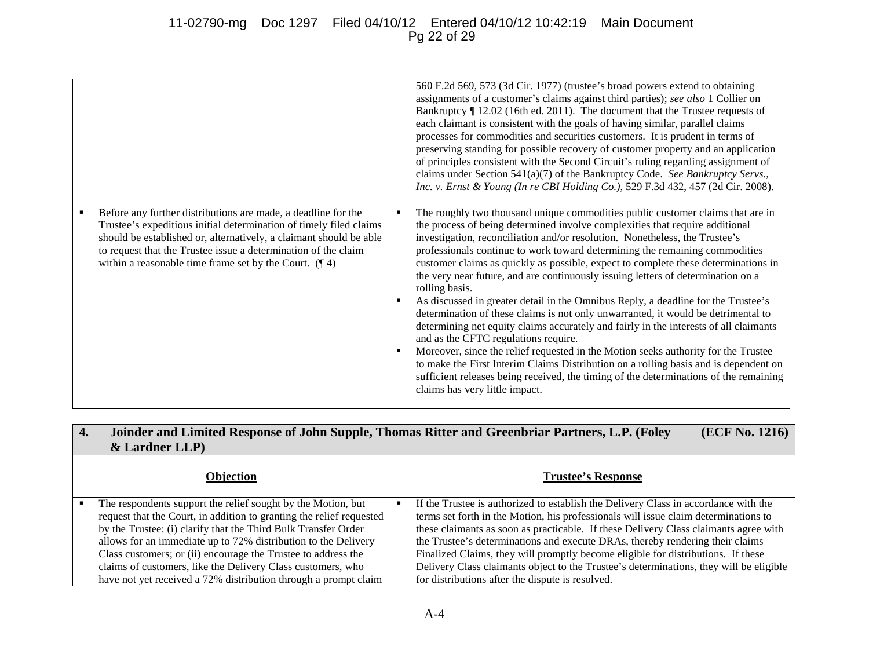# 11-02790-mg Doc 1297 Filed 04/10/12 Entered 04/10/12 10:42:19 Main Document Pg 22 of 29

|                                                                                                                                                                                                                                                                                                                                          | 560 F.2d 569, 573 (3d Cir. 1977) (trustee's broad powers extend to obtaining<br>assignments of a customer's claims against third parties); see also 1 Collier on<br>Bankruptcy ¶ 12.02 (16th ed. 2011). The document that the Trustee requests of<br>each claimant is consistent with the goals of having similar, parallel claims<br>processes for commodities and securities customers. It is prudent in terms of<br>preserving standing for possible recovery of customer property and an application<br>of principles consistent with the Second Circuit's ruling regarding assignment of<br>claims under Section 541(a)(7) of the Bankruptcy Code. See Bankruptcy Servs.,<br>Inc. v. Ernst & Young (In re CBI Holding Co.), 529 F.3d 432, 457 (2d Cir. 2008).                                                                                                                                                                                                                                                                                                                                                                                |
|------------------------------------------------------------------------------------------------------------------------------------------------------------------------------------------------------------------------------------------------------------------------------------------------------------------------------------------|---------------------------------------------------------------------------------------------------------------------------------------------------------------------------------------------------------------------------------------------------------------------------------------------------------------------------------------------------------------------------------------------------------------------------------------------------------------------------------------------------------------------------------------------------------------------------------------------------------------------------------------------------------------------------------------------------------------------------------------------------------------------------------------------------------------------------------------------------------------------------------------------------------------------------------------------------------------------------------------------------------------------------------------------------------------------------------------------------------------------------------------------------|
| Before any further distributions are made, a deadline for the<br>Trustee's expeditious initial determination of timely filed claims<br>should be established or, alternatively, a claimant should be able<br>to request that the Trustee issue a determination of the claim<br>within a reasonable time frame set by the Court. $(\P 4)$ | The roughly two thousand unique commodities public customer claims that are in<br>٠<br>the process of being determined involve complexities that require additional<br>investigation, reconciliation and/or resolution. Nonetheless, the Trustee's<br>professionals continue to work toward determining the remaining commodities<br>customer claims as quickly as possible, expect to complete these determinations in<br>the very near future, and are continuously issuing letters of determination on a<br>rolling basis.<br>As discussed in greater detail in the Omnibus Reply, a deadline for the Trustee's<br>determination of these claims is not only unwarranted, it would be detrimental to<br>determining net equity claims accurately and fairly in the interests of all claimants<br>and as the CFTC regulations require.<br>Moreover, since the relief requested in the Motion seeks authority for the Trustee<br>to make the First Interim Claims Distribution on a rolling basis and is dependent on<br>sufficient releases being received, the timing of the determinations of the remaining<br>claims has very little impact. |

#### **4. Joinder and Limited Response of John Supple, Thomas Ritter and Greenbriar Partners, L.P. (Foley & Lardner LLP) (ECF No. 1216)**

| <b>Objection</b>                                                                                                                     | <b>Trustee's Response</b>                                                                                                                                                  |
|--------------------------------------------------------------------------------------------------------------------------------------|----------------------------------------------------------------------------------------------------------------------------------------------------------------------------|
| The respondents support the relief sought by the Motion, but<br>request that the Court, in addition to granting the relief requested | If the Trustee is authorized to establish the Delivery Class in accordance with the<br>terms set forth in the Motion, his professionals will issue claim determinations to |
| by the Trustee: (i) clarify that the Third Bulk Transfer Order<br>allows for an immediate up to 72% distribution to the Delivery     | these claimants as soon as practicable. If these Delivery Class claimants agree with<br>the Trustee's determinations and execute DRAs, thereby rendering their claims      |
| Class customers; or (ii) encourage the Trustee to address the                                                                        | Finalized Claims, they will promptly become eligible for distributions. If these                                                                                           |
| claims of customers, like the Delivery Class customers, who                                                                          | Delivery Class claimants object to the Trustee's determinations, they will be eligible                                                                                     |
| have not yet received a 72% distribution through a prompt claim                                                                      | for distributions after the dispute is resolved.                                                                                                                           |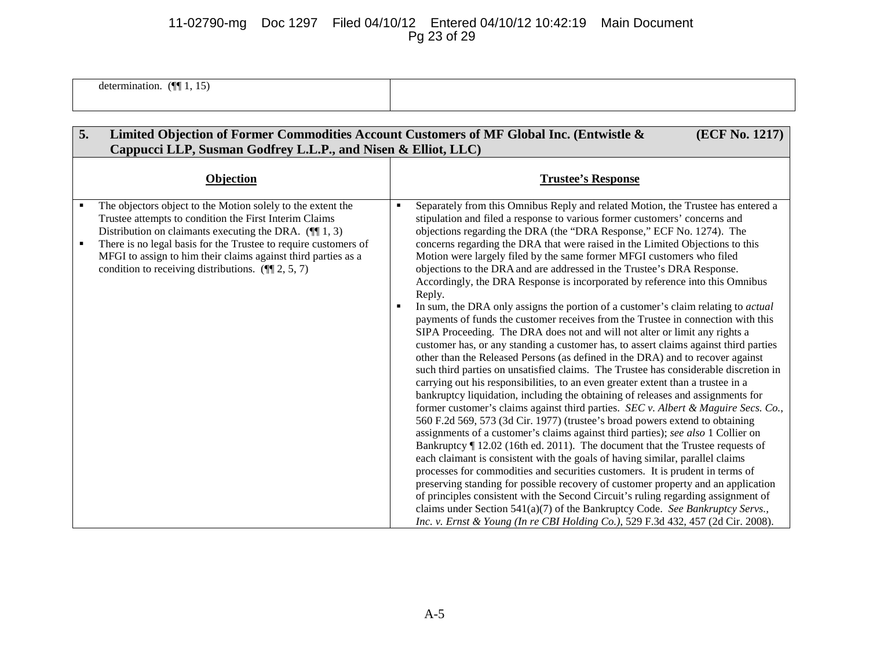# 11-02790-mg Doc 1297 Filed 04/10/12 Entered 04/10/12 10:42:19 Main Document Pg 23 of 29

determination.  $(\P\P 1, 15)$ 

| 5.                  | Limited Objection of Former Commodities Account Customers of MF Global Inc. (Entwistle &<br>Cappucci LLP, Susman Godfrey L.L.P., and Nisen & Elliot, LLC)                                                                                                                                                                                                                         |                | (ECF No. 1217)                                                                                                                                                                                                                                                                                                                                                                                                                                                                                                                                                                                                                                                                                                                                                                                                                                                                                                                                                                                                                                                                                                                                                                                                                                                                                                                                                                                                                                                                                                                                                                                                                                                                                                                                                                                                                                                                                                                                                                                                                                                                                                                                           |
|---------------------|-----------------------------------------------------------------------------------------------------------------------------------------------------------------------------------------------------------------------------------------------------------------------------------------------------------------------------------------------------------------------------------|----------------|----------------------------------------------------------------------------------------------------------------------------------------------------------------------------------------------------------------------------------------------------------------------------------------------------------------------------------------------------------------------------------------------------------------------------------------------------------------------------------------------------------------------------------------------------------------------------------------------------------------------------------------------------------------------------------------------------------------------------------------------------------------------------------------------------------------------------------------------------------------------------------------------------------------------------------------------------------------------------------------------------------------------------------------------------------------------------------------------------------------------------------------------------------------------------------------------------------------------------------------------------------------------------------------------------------------------------------------------------------------------------------------------------------------------------------------------------------------------------------------------------------------------------------------------------------------------------------------------------------------------------------------------------------------------------------------------------------------------------------------------------------------------------------------------------------------------------------------------------------------------------------------------------------------------------------------------------------------------------------------------------------------------------------------------------------------------------------------------------------------------------------------------------------|
|                     | <b>Objection</b>                                                                                                                                                                                                                                                                                                                                                                  |                | <b>Trustee's Response</b>                                                                                                                                                                                                                                                                                                                                                                                                                                                                                                                                                                                                                                                                                                                                                                                                                                                                                                                                                                                                                                                                                                                                                                                                                                                                                                                                                                                                                                                                                                                                                                                                                                                                                                                                                                                                                                                                                                                                                                                                                                                                                                                                |
| ٠<br>$\blacksquare$ | The objectors object to the Motion solely to the extent the<br>Trustee attempts to condition the First Interim Claims<br>Distribution on claimants executing the DRA. $(\P\P 1, 3)$<br>There is no legal basis for the Trustee to require customers of<br>MFGI to assign to him their claims against third parties as a<br>condition to receiving distributions. $(\P\P 2, 5, 7)$ | $\blacksquare$ | Separately from this Omnibus Reply and related Motion, the Trustee has entered a<br>stipulation and filed a response to various former customers' concerns and<br>objections regarding the DRA (the "DRA Response," ECF No. 1274). The<br>concerns regarding the DRA that were raised in the Limited Objections to this<br>Motion were largely filed by the same former MFGI customers who filed<br>objections to the DRA and are addressed in the Trustee's DRA Response.<br>Accordingly, the DRA Response is incorporated by reference into this Omnibus<br>Reply.<br>In sum, the DRA only assigns the portion of a customer's claim relating to actual<br>payments of funds the customer receives from the Trustee in connection with this<br>SIPA Proceeding. The DRA does not and will not alter or limit any rights a<br>customer has, or any standing a customer has, to assert claims against third parties<br>other than the Released Persons (as defined in the DRA) and to recover against<br>such third parties on unsatisfied claims. The Trustee has considerable discretion in<br>carrying out his responsibilities, to an even greater extent than a trustee in a<br>bankruptcy liquidation, including the obtaining of releases and assignments for<br>former customer's claims against third parties. <i>SEC</i> $\nu$ . <i>Albert &amp; Maguire Secs. Co.</i> ,<br>560 F.2d 569, 573 (3d Cir. 1977) (trustee's broad powers extend to obtaining<br>assignments of a customer's claims against third parties); see also 1 Collier on<br>Bankruptcy ¶ 12.02 (16th ed. 2011). The document that the Trustee requests of<br>each claimant is consistent with the goals of having similar, parallel claims<br>processes for commodities and securities customers. It is prudent in terms of<br>preserving standing for possible recovery of customer property and an application<br>of principles consistent with the Second Circuit's ruling regarding assignment of<br>claims under Section 541(a)(7) of the Bankruptcy Code. See Bankruptcy Servs.,<br>Inc. v. Ernst & Young (In re CBI Holding Co.), 529 F.3d 432, 457 (2d Cir. 2008). |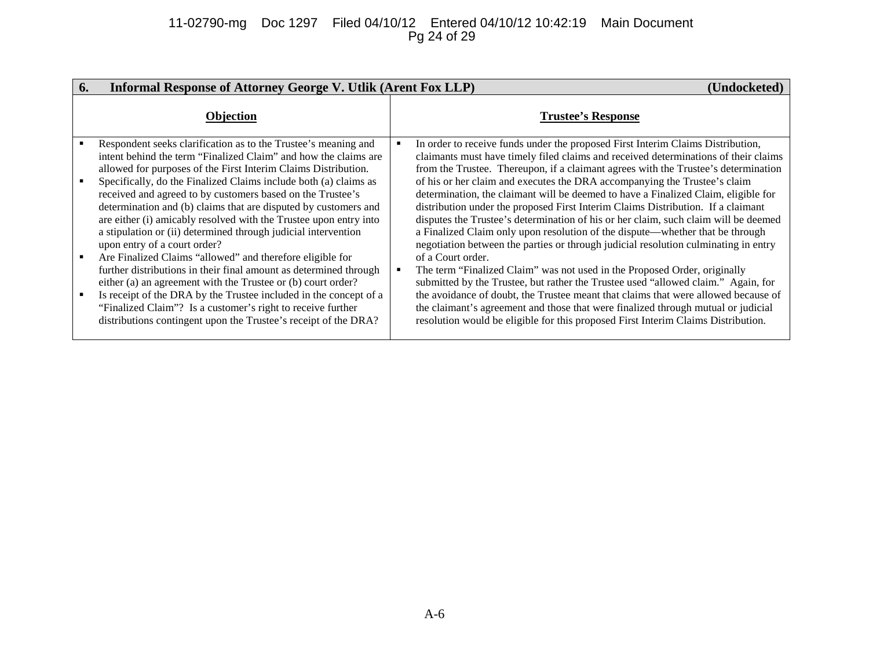## 11-02790-mg Doc 1297 Filed 04/10/12 Entered 04/10/12 10:42:19 Main Document Pg 24 of 29

| 6. | <b>Informal Response of Attorney George V. Utlik (Arent Fox LLP)</b>                                                                                                                                                                                                                                                                                                                                                                                                                                                                                                                                                                                                                                                                                                                                                                                                                                                                                                                     | (Undocketed)                                                                                                                                                                                                                                                                                                                                                                                                                                                                                                                                                                                                                                                                                                                                                                                                                                                                                                                                                                                                                                                                                                                                                                                                                              |
|----|------------------------------------------------------------------------------------------------------------------------------------------------------------------------------------------------------------------------------------------------------------------------------------------------------------------------------------------------------------------------------------------------------------------------------------------------------------------------------------------------------------------------------------------------------------------------------------------------------------------------------------------------------------------------------------------------------------------------------------------------------------------------------------------------------------------------------------------------------------------------------------------------------------------------------------------------------------------------------------------|-------------------------------------------------------------------------------------------------------------------------------------------------------------------------------------------------------------------------------------------------------------------------------------------------------------------------------------------------------------------------------------------------------------------------------------------------------------------------------------------------------------------------------------------------------------------------------------------------------------------------------------------------------------------------------------------------------------------------------------------------------------------------------------------------------------------------------------------------------------------------------------------------------------------------------------------------------------------------------------------------------------------------------------------------------------------------------------------------------------------------------------------------------------------------------------------------------------------------------------------|
|    | Objection                                                                                                                                                                                                                                                                                                                                                                                                                                                                                                                                                                                                                                                                                                                                                                                                                                                                                                                                                                                | <b>Trustee's Response</b>                                                                                                                                                                                                                                                                                                                                                                                                                                                                                                                                                                                                                                                                                                                                                                                                                                                                                                                                                                                                                                                                                                                                                                                                                 |
|    | Respondent seeks clarification as to the Trustee's meaning and<br>intent behind the term "Finalized Claim" and how the claims are<br>allowed for purposes of the First Interim Claims Distribution.<br>Specifically, do the Finalized Claims include both (a) claims as<br>received and agreed to by customers based on the Trustee's<br>determination and (b) claims that are disputed by customers and<br>are either (i) amicably resolved with the Trustee upon entry into<br>a stipulation or (ii) determined through judicial intervention<br>upon entry of a court order?<br>Are Finalized Claims "allowed" and therefore eligible for<br>further distributions in their final amount as determined through<br>either (a) an agreement with the Trustee or (b) court order?<br>Is receipt of the DRA by the Trustee included in the concept of a<br>"Finalized Claim"? Is a customer's right to receive further<br>distributions contingent upon the Trustee's receipt of the DRA? | In order to receive funds under the proposed First Interim Claims Distribution,<br>claimants must have timely filed claims and received determinations of their claims<br>from the Trustee. Thereupon, if a claimant agrees with the Trustee's determination<br>of his or her claim and executes the DRA accompanying the Trustee's claim<br>determination, the claimant will be deemed to have a Finalized Claim, eligible for<br>distribution under the proposed First Interim Claims Distribution. If a claimant<br>disputes the Trustee's determination of his or her claim, such claim will be deemed<br>a Finalized Claim only upon resolution of the dispute—whether that be through<br>negotiation between the parties or through judicial resolution culminating in entry<br>of a Court order.<br>The term "Finalized Claim" was not used in the Proposed Order, originally<br>submitted by the Trustee, but rather the Trustee used "allowed claim." Again, for<br>the avoidance of doubt, the Trustee meant that claims that were allowed because of<br>the claimant's agreement and those that were finalized through mutual or judicial<br>resolution would be eligible for this proposed First Interim Claims Distribution. |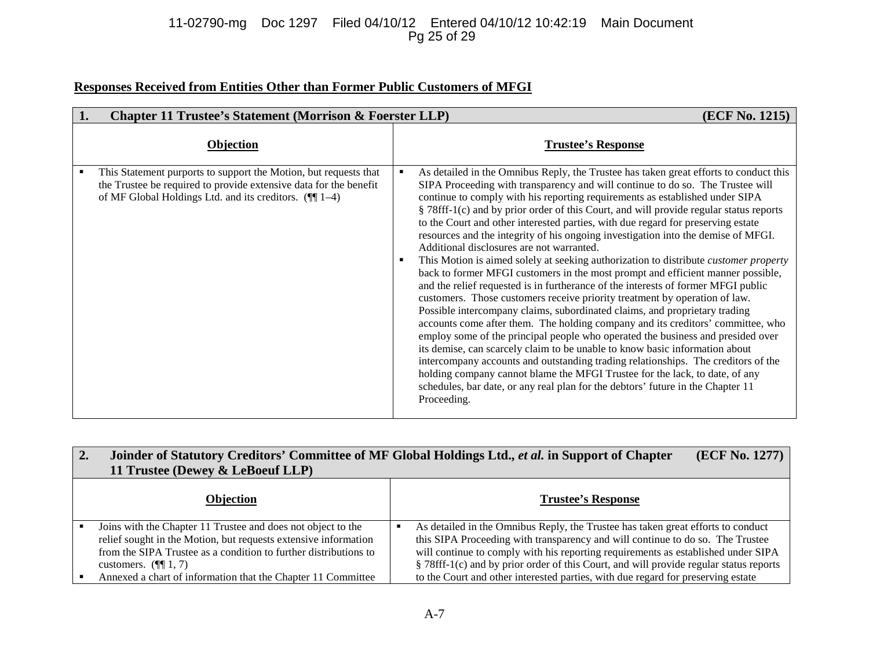# 11-02790-mg Doc 1297 Filed 04/10/12 Entered 04/10/12 10:42:19 Main Document Pg 25 of 29

# **Responses Received from Entities Other than Former Public Customers of MFGI**

| 1. | <b>Chapter 11 Trustee's Statement (Morrison &amp; Foerster LLP)</b>                                                                                                                                 | (ECF No. 1215)                                                                                                                                                                                                                                                                                                                                                                                                                                                                                                                                                                                                                                                                                                                                                                                                                                                                                                                                                                                                                                                                                                                                                                                                                                                                                                                                                                                                                                                                                                                        |
|----|-----------------------------------------------------------------------------------------------------------------------------------------------------------------------------------------------------|---------------------------------------------------------------------------------------------------------------------------------------------------------------------------------------------------------------------------------------------------------------------------------------------------------------------------------------------------------------------------------------------------------------------------------------------------------------------------------------------------------------------------------------------------------------------------------------------------------------------------------------------------------------------------------------------------------------------------------------------------------------------------------------------------------------------------------------------------------------------------------------------------------------------------------------------------------------------------------------------------------------------------------------------------------------------------------------------------------------------------------------------------------------------------------------------------------------------------------------------------------------------------------------------------------------------------------------------------------------------------------------------------------------------------------------------------------------------------------------------------------------------------------------|
|    | Objection                                                                                                                                                                                           | <b>Trustee's Response</b>                                                                                                                                                                                                                                                                                                                                                                                                                                                                                                                                                                                                                                                                                                                                                                                                                                                                                                                                                                                                                                                                                                                                                                                                                                                                                                                                                                                                                                                                                                             |
|    | This Statement purports to support the Motion, but requests that<br>the Trustee be required to provide extensive data for the benefit<br>of MF Global Holdings Ltd. and its creditors. $(\P\P 1-4)$ | As detailed in the Omnibus Reply, the Trustee has taken great efforts to conduct this<br>SIPA Proceeding with transparency and will continue to do so. The Trustee will<br>continue to comply with his reporting requirements as established under SIPA<br>§ 78fff-1(c) and by prior order of this Court, and will provide regular status reports<br>to the Court and other interested parties, with due regard for preserving estate<br>resources and the integrity of his ongoing investigation into the demise of MFGI.<br>Additional disclosures are not warranted.<br>This Motion is aimed solely at seeking authorization to distribute <i>customer property</i><br>back to former MFGI customers in the most prompt and efficient manner possible,<br>and the relief requested is in furtherance of the interests of former MFGI public<br>customers. Those customers receive priority treatment by operation of law.<br>Possible intercompany claims, subordinated claims, and proprietary trading<br>accounts come after them. The holding company and its creditors' committee, who<br>employ some of the principal people who operated the business and presided over<br>its demise, can scarcely claim to be unable to know basic information about<br>intercompany accounts and outstanding trading relationships. The creditors of the<br>holding company cannot blame the MFGI Trustee for the lack, to date, of any<br>schedules, bar date, or any real plan for the debtors' future in the Chapter 11<br>Proceeding. |

| $\overline{2}$ . | Joinder of Statutory Creditors' Committee of MF Global Holdings Ltd., et al. in Support of Chapter<br>11 Trustee (Dewey & LeBoeuf LLP)                                                                                          | (ECF No. 1277)                                                                                                                                                                                                                                                                                                                                    |
|------------------|---------------------------------------------------------------------------------------------------------------------------------------------------------------------------------------------------------------------------------|---------------------------------------------------------------------------------------------------------------------------------------------------------------------------------------------------------------------------------------------------------------------------------------------------------------------------------------------------|
|                  | <b>Objection</b>                                                                                                                                                                                                                | <b>Trustee's Response</b>                                                                                                                                                                                                                                                                                                                         |
|                  | Joins with the Chapter 11 Trustee and does not object to the<br>relief sought in the Motion, but requests extensive information<br>from the SIPA Trustee as a condition to further distributions to<br>customers. $(\P\P 1, 7)$ | As detailed in the Omnibus Reply, the Trustee has taken great efforts to conduct<br>this SIPA Proceeding with transparency and will continue to do so. The Trustee<br>will continue to comply with his reporting requirements as established under SIPA<br>§ 78fff-1(c) and by prior order of this Court, and will provide regular status reports |
|                  | Annexed a chart of information that the Chapter 11 Committee                                                                                                                                                                    | to the Court and other interested parties, with due regard for preserving estate                                                                                                                                                                                                                                                                  |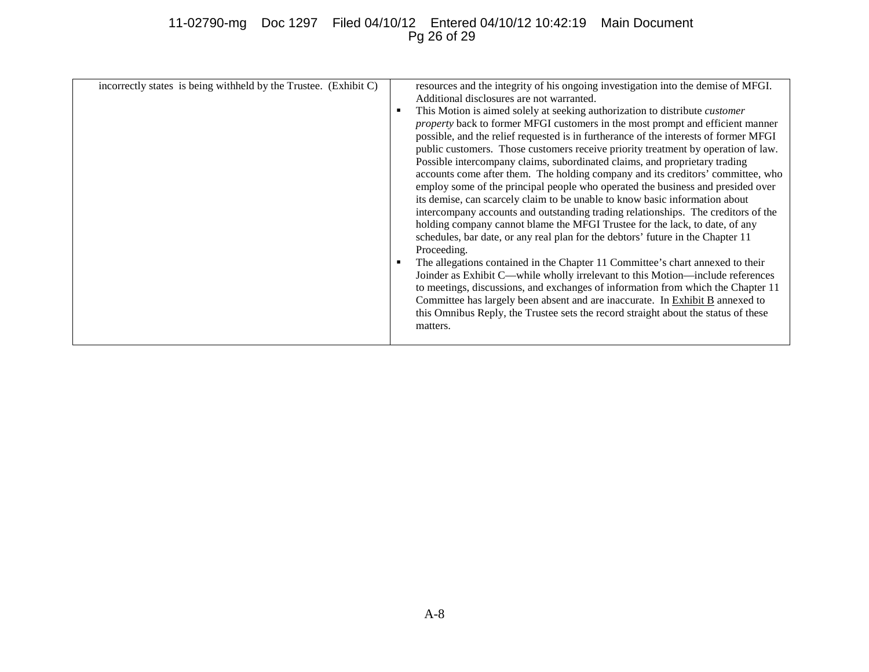# 11-02790-mg Doc 1297 Filed 04/10/12 Entered 04/10/12 10:42:19 Main Document Pg 26 of 29

| incorrectly states is being withheld by the Trustee. (Exhibit C) |  | resources and the integrity of his ongoing investigation into the demise of MFGI.<br>Additional disclosures are not warranted.<br>This Motion is aimed solely at seeking authorization to distribute <i>customer</i><br>property back to former MFGI customers in the most prompt and efficient manner<br>possible, and the relief requested is in furtherance of the interests of former MFGI<br>public customers. Those customers receive priority treatment by operation of law.<br>Possible intercompany claims, subordinated claims, and proprietary trading<br>accounts come after them. The holding company and its creditors' committee, who<br>employ some of the principal people who operated the business and presided over<br>its demise, can scarcely claim to be unable to know basic information about<br>intercompany accounts and outstanding trading relationships. The creditors of the<br>holding company cannot blame the MFGI Trustee for the lack, to date, of any<br>schedules, bar date, or any real plan for the debtors' future in the Chapter 11<br>Proceeding.<br>The allegations contained in the Chapter 11 Committee's chart annexed to their<br>Joinder as Exhibit C—while wholly irrelevant to this Motion—include references<br>to meetings, discussions, and exchanges of information from which the Chapter 11<br>Committee has largely been absent and are inaccurate. In Exhibit B annexed to<br>this Omnibus Reply, the Trustee sets the record straight about the status of these<br>matters. |
|------------------------------------------------------------------|--|-----------------------------------------------------------------------------------------------------------------------------------------------------------------------------------------------------------------------------------------------------------------------------------------------------------------------------------------------------------------------------------------------------------------------------------------------------------------------------------------------------------------------------------------------------------------------------------------------------------------------------------------------------------------------------------------------------------------------------------------------------------------------------------------------------------------------------------------------------------------------------------------------------------------------------------------------------------------------------------------------------------------------------------------------------------------------------------------------------------------------------------------------------------------------------------------------------------------------------------------------------------------------------------------------------------------------------------------------------------------------------------------------------------------------------------------------------------------------------------------------------------------------------------------|
|------------------------------------------------------------------|--|-----------------------------------------------------------------------------------------------------------------------------------------------------------------------------------------------------------------------------------------------------------------------------------------------------------------------------------------------------------------------------------------------------------------------------------------------------------------------------------------------------------------------------------------------------------------------------------------------------------------------------------------------------------------------------------------------------------------------------------------------------------------------------------------------------------------------------------------------------------------------------------------------------------------------------------------------------------------------------------------------------------------------------------------------------------------------------------------------------------------------------------------------------------------------------------------------------------------------------------------------------------------------------------------------------------------------------------------------------------------------------------------------------------------------------------------------------------------------------------------------------------------------------------------|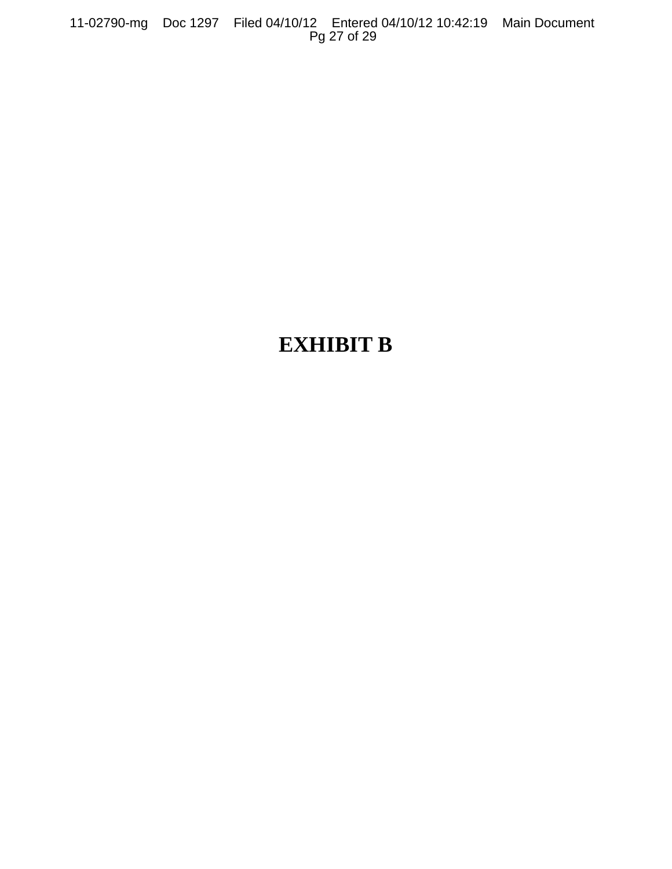11-02790-mg Doc 1297 Filed 04/10/12 Entered 04/10/12 10:42:19 Main Document Pg 27 of 29

# **EXHIBIT B**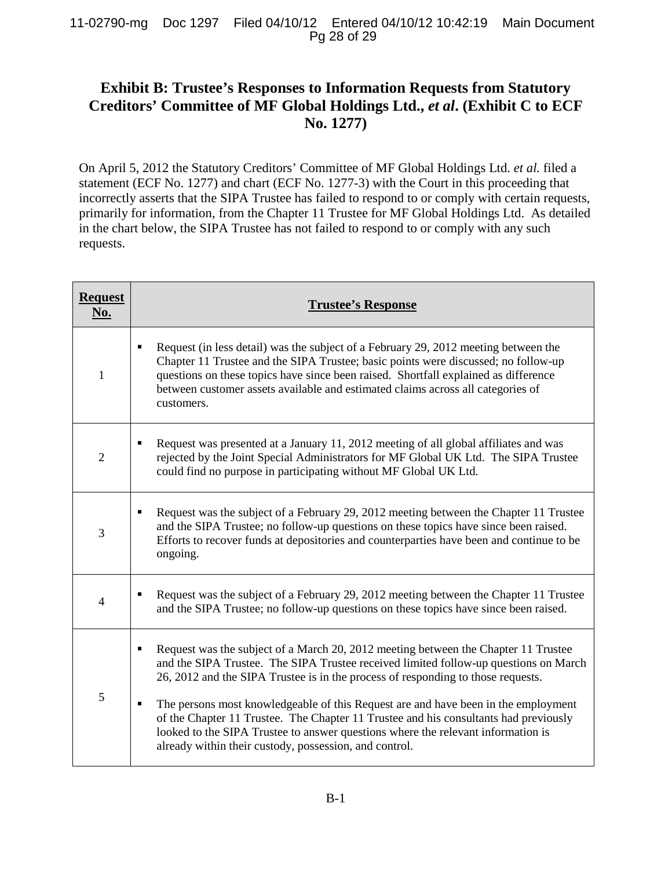# **Exhibit B: Trustee's Responses to Information Requests from Statutory Creditors' Committee of MF Global Holdings Ltd.,** *et al***. (Exhibit C to ECF No. 1277)**

On April 5, 2012 the Statutory Creditors' Committee of MF Global Holdings Ltd. *et al.* filed a statement (ECF No. 1277) and chart (ECF No. 1277-3) with the Court in this proceeding that incorrectly asserts that the SIPA Trustee has failed to respond to or comply with certain requests, primarily for information, from the Chapter 11 Trustee for MF Global Holdings Ltd. As detailed in the chart below, the SIPA Trustee has not failed to respond to or comply with any such requests.

| <b>Request</b><br>No. | <b>Trustee's Response</b>                                                                                                                                                                                                                                                                                                                                                                                                                                                                                                                                                                                         |
|-----------------------|-------------------------------------------------------------------------------------------------------------------------------------------------------------------------------------------------------------------------------------------------------------------------------------------------------------------------------------------------------------------------------------------------------------------------------------------------------------------------------------------------------------------------------------------------------------------------------------------------------------------|
| 1                     | Request (in less detail) was the subject of a February 29, 2012 meeting between the<br>$\blacksquare$<br>Chapter 11 Trustee and the SIPA Trustee; basic points were discussed; no follow-up<br>questions on these topics have since been raised. Shortfall explained as difference<br>between customer assets available and estimated claims across all categories of<br>customers.                                                                                                                                                                                                                               |
| $\overline{2}$        | Request was presented at a January 11, 2012 meeting of all global affiliates and was<br>$\blacksquare$<br>rejected by the Joint Special Administrators for MF Global UK Ltd. The SIPA Trustee<br>could find no purpose in participating without MF Global UK Ltd.                                                                                                                                                                                                                                                                                                                                                 |
| 3                     | Request was the subject of a February 29, 2012 meeting between the Chapter 11 Trustee<br>$\blacksquare$<br>and the SIPA Trustee; no follow-up questions on these topics have since been raised.<br>Efforts to recover funds at depositories and counterparties have been and continue to be<br>ongoing.                                                                                                                                                                                                                                                                                                           |
| $\overline{4}$        | Request was the subject of a February 29, 2012 meeting between the Chapter 11 Trustee<br>and the SIPA Trustee; no follow-up questions on these topics have since been raised.                                                                                                                                                                                                                                                                                                                                                                                                                                     |
| 5                     | Request was the subject of a March 20, 2012 meeting between the Chapter 11 Trustee<br>Ξ<br>and the SIPA Trustee. The SIPA Trustee received limited follow-up questions on March<br>26, 2012 and the SIPA Trustee is in the process of responding to those requests.<br>The persons most knowledgeable of this Request are and have been in the employment<br>$\blacksquare$<br>of the Chapter 11 Trustee. The Chapter 11 Trustee and his consultants had previously<br>looked to the SIPA Trustee to answer questions where the relevant information is<br>already within their custody, possession, and control. |